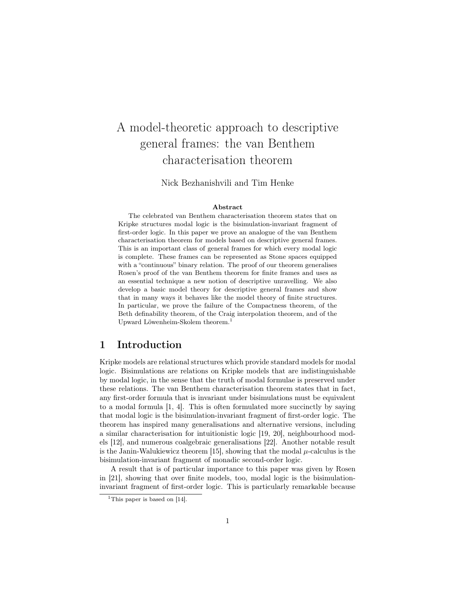# A model-theoretic approach to descriptive general frames: the van Benthem characterisation theorem

Nick Bezhanishvili and Tim Henke

#### Abstract

The celebrated van Benthem characterisation theorem states that on Kripke structures modal logic is the bisimulation-invariant fragment of first-order logic. In this paper we prove an analogue of the van Benthem characterisation theorem for models based on descriptive general frames. This is an important class of general frames for which every modal logic is complete. These frames can be represented as Stone spaces equipped with a "continuous" binary relation. The proof of our theorem generalises Rosen's proof of the van Benthem theorem for finite frames and uses as an essential technique a new notion of descriptive unravelling. We also develop a basic model theory for descriptive general frames and show that in many ways it behaves like the model theory of finite structures. In particular, we prove the failure of the Compactness theorem, of the Beth definability theorem, of the Craig interpolation theorem, and of the Upward Löwenheim-Skolem theorem.[1](#page-0-0)

### 1 Introduction

Kripke models are relational structures which provide standard models for modal logic. Bisimulations are relations on Kripke models that are indistinguishable by modal logic, in the sense that the truth of modal formulae is preserved under these relations. The van Benthem characterisation theorem states that in fact, any first-order formula that is invariant under bisimulations must be equivalent to a modal formula [\[1,](#page-26-0) [4\]](#page-26-1). This is often formulated more succinctly by saying that modal logic is the bisimulation-invariant fragment of first-order logic. The theorem has inspired many generalisations and alternative versions, including a similar characterisation for intuitionistic logic [\[19,](#page-27-0) [20\]](#page-27-1), neighbourhood models [\[12\]](#page-27-2), and numerous coalgebraic generalisations [\[22\]](#page-27-3). Another notable result is the Janin-Walukiewicz theorem [\[15\]](#page-27-4), showing that the modal  $\mu$ -calculus is the bisimulation-invariant fragment of monadic second-order logic.

A result that is of particular importance to this paper was given by Rosen in [\[21\]](#page-27-5), showing that over finite models, too, modal logic is the bisimulationinvariant fragment of first-order logic. This is particularly remarkable because

<span id="page-0-0"></span><sup>&</sup>lt;sup>1</sup>This paper is based on [\[14\]](#page-27-6).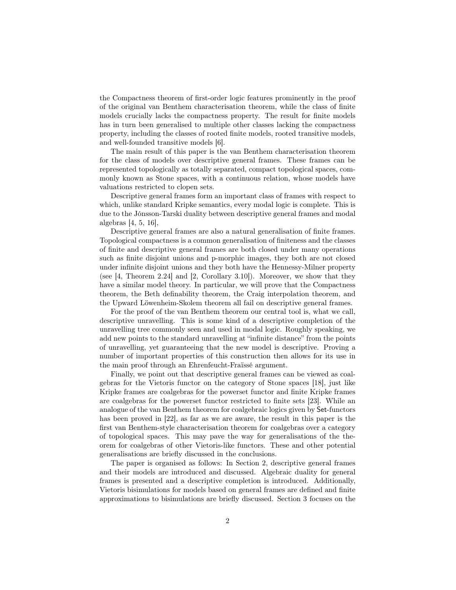the Compactness theorem of first-order logic features prominently in the proof of the original van Benthem characterisation theorem, while the class of finite models crucially lacks the compactness property. The result for finite models has in turn been generalised to multiple other classes lacking the compactness property, including the classes of rooted finite models, rooted transitive models, and well-founded transitive models [\[6\]](#page-26-2).

The main result of this paper is the van Benthem characterisation theorem for the class of models over descriptive general frames. These frames can be represented topologically as totally separated, compact topological spaces, commonly known as Stone spaces, with a continuous relation, whose models have valuations restricted to clopen sets.

Descriptive general frames form an important class of frames with respect to which, unlike standard Kripke semantics, every modal logic is complete. This is due to the Jónsson-Tarski duality between descriptive general frames and modal algebras [\[4,](#page-26-1) [5,](#page-26-3) [16\]](#page-27-7),

Descriptive general frames are also a natural generalisation of finite frames. Topological compactness is a common generalisation of finiteness and the classes of finite and descriptive general frames are both closed under many operations such as finite disjoint unions and p-morphic images, they both are not closed under infinite disjoint unions and they both have the Hennessy-Milner property (see [\[4,](#page-26-1) Theorem 2.24] and [\[2,](#page-26-4) Corollary 3.10]). Moreover, we show that they have a similar model theory. In particular, we will prove that the Compactness theorem, the Beth definability theorem, the Craig interpolation theorem, and the Upward Löwenheim-Skolem theorem all fail on descriptive general frames.

For the proof of the van Benthem theorem our central tool is, what we call, descriptive unravelling. This is some kind of a descriptive completion of the unravelling tree commonly seen and used in modal logic. Roughly speaking, we add new points to the standard unravelling at "infinite distance" from the points of unravelling, yet guaranteeing that the new model is descriptive. Proving a number of important properties of this construction then allows for its use in the main proof through an Ehrenfeucht-Fraïssé argument.

Finally, we point out that descriptive general frames can be viewed as coalgebras for the Vietoris functor on the category of Stone spaces [\[18\]](#page-27-8), just like Kripke frames are coalgebras for the powerset functor and finite Kripke frames are coalgebras for the powerset functor restricted to finite sets [\[23\]](#page-27-9). While an analogue of the van Benthem theorem for coalgebraic logics given by Set-functors has been proved in [\[22\]](#page-27-3), as far as we are aware, the result in this paper is the first van Benthem-style characterisation theorem for coalgebras over a category of topological spaces. This may pave the way for generalisations of the theorem for coalgebras of other Vietoris-like functors. These and other potential generalisations are briefly discussed in the conclusions.

The paper is organised as follows: In Section 2, descriptive general frames and their models are introduced and discussed. Algebraic duality for general frames is presented and a descriptive completion is introduced. Additionally, Vietoris bisimulations for models based on general frames are defined and finite approximations to bisimulations are briefly discussed. Section 3 focuses on the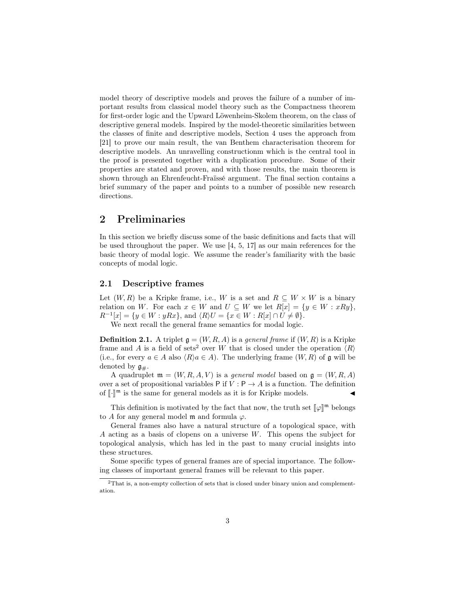model theory of descriptive models and proves the failure of a number of important results from classical model theory such as the Compactness theorem for first-order logic and the Upward Löwenheim-Skolem theorem, on the class of descriptive general models. Inspired by the model-theoretic similarities between the classes of finite and descriptive models, Section 4 uses the approach from [\[21\]](#page-27-5) to prove our main result, the van Benthem characterisation theorem for descriptive models. An unravelling constructionm which is the central tool in the proof is presented together with a duplication procedure. Some of their properties are stated and proven, and with those results, the main theorem is shown through an Ehrenfeucht-Fraïssé argument. The final section contains a brief summary of the paper and points to a number of possible new research directions.

### 2 Preliminaries

In this section we briefly discuss some of the basic definitions and facts that will be used throughout the paper. We use [\[4,](#page-26-1) [5,](#page-26-3) [17\]](#page-27-10) as our main references for the basic theory of modal logic. We assume the reader's familiarity with the basic concepts of modal logic.

### 2.1 Descriptive frames

Let  $(W, R)$  be a Kripke frame, i.e., W is a set and  $R \subseteq W \times W$  is a binary relation on W. For each  $x \in W$  and  $U \subseteq W$  we let  $R[x] = \{y \in W : xRy\},\$  $R^{-1}[x] = \{y \in W : yRx\},\$  and  $\langle R \rangle U = \{x \in W : R[x] \cap U \neq \emptyset\}.$ 

We next recall the general frame semantics for modal logic.

**Definition 2.1.** A triplet  $\mathfrak{g} = (W, R, A)$  is a *general frame* if  $(W, R)$  is a Kripke frame and A is a field of sets<sup>[2](#page-2-0)</sup> over W that is closed under the operation  $\langle R \rangle$ (i.e., for every  $a \in A$  also  $\langle R \rangle a \in A$ ). The underlying frame  $(W, R)$  of g will be denoted by  $\mathfrak{g}_{\#}$ .

A quadruplet  $\mathfrak{m} = (W, R, A, V)$  is a *general model* based on  $\mathfrak{g} = (W, R, A)$ over a set of propositional variables P if  $V : P \to A$  is a function. The definition of  $\llbracket \cdot \rrbracket^{\mathfrak{m}}$  is the same for general models as it is for Kripke models.  $\blacktriangleleft$ 

This definition is motivated by the fact that now, the truth set  $\llbracket \varphi \rrbracket^m$  belongs if for any general model m and formula  $\varphi$ . to A for any general model  $\mathfrak m$  and formula  $\varphi$ .

General frames also have a natural structure of a topological space, with A acting as a basis of clopens on a universe W. This opens the subject for topological analysis, which has led in the past to many crucial insights into these structures.

Some specific types of general frames are of special importance. The following classes of important general frames will be relevant to this paper.

<span id="page-2-0"></span><sup>2</sup>That is, a non-empty collection of sets that is closed under binary union and complementation.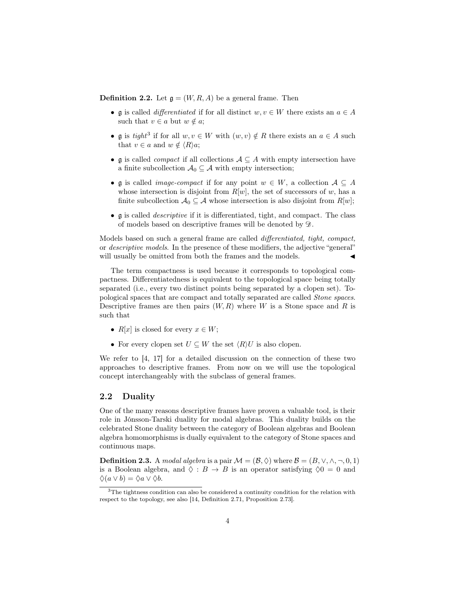**Definition 2.2.** Let  $\mathfrak{g} = (W, R, A)$  be a general frame. Then

- g is called *differentiated* if for all distinct  $w, v \in W$  there exists an  $a \in A$ such that  $v \in a$  but  $w \notin a$ ;
- g is tight<sup>[3](#page-3-0)</sup> if for all  $w, v \in W$  with  $(w, v) \notin R$  there exists an  $a \in A$  such that  $v \in a$  and  $w \notin \langle R \rangle a$ ;
- g is called *compact* if all collections  $A \subseteq A$  with empty intersection have a finite subcollection  $\mathcal{A}_0 \subseteq \mathcal{A}$  with empty intersection;
- g is called *image-compact* if for any point  $w \in W$ , a collection  $A \subseteq A$ whose intersection is disjoint from  $R[w]$ , the set of successors of w, has a finite subcollection  $\mathcal{A}_0 \subseteq \mathcal{A}$  whose intersection is also disjoint from  $R[w]$ ;
- g is called descriptive if it is differentiated, tight, and compact. The class of models based on descriptive frames will be denoted by D.

Models based on such a general frame are called differentiated, tight, compact, or descriptive models. In the presence of these modifiers, the adjective "general" will usually be omitted from both the frames and the models.

The term compactness is used because it corresponds to topological compactness. Differentiatedness is equivalent to the topological space being totally separated (i.e., every two distinct points being separated by a clopen set). Topological spaces that are compact and totally separated are called Stone spaces. Descriptive frames are then pairs  $(W, R)$  where W is a Stone space and R is such that

- $R[x]$  is closed for every  $x \in W$ ;
- For every clopen set  $U \subseteq W$  the set  $\langle R \rangle U$  is also clopen.

We refer to [\[4,](#page-26-1) [17\]](#page-27-10) for a detailed discussion on the connection of these two approaches to descriptive frames. From now on we will use the topological concept interchangeably with the subclass of general frames.

### 2.2 Duality

One of the many reasons descriptive frames have proven a valuable tool, is their role in Jónsson-Tarski duality for modal algebras. This duality builds on the celebrated Stone duality between the category of Boolean algebras and Boolean algebra homomorphisms is dually equivalent to the category of Stone spaces and continuous maps.

**Definition 2.3.** A modal algebra is a pair  $\mathcal{M} = (\mathcal{B}, \Diamond)$  where  $\mathcal{B} = (B, \lor, \land, \neg, 0, 1)$ is a Boolean algebra, and  $\Diamond : B \to B$  is an operator satisfying  $\Diamond 0 = 0$  and  $\Diamond(a \vee b) = \Diamond a \vee \Diamond b.$ 

<span id="page-3-0"></span> $3$ The tightness condition can also be considered a continuity condition for the relation with respect to the topology, see also [\[14,](#page-27-6) Definition 2.71, Proposition 2.73].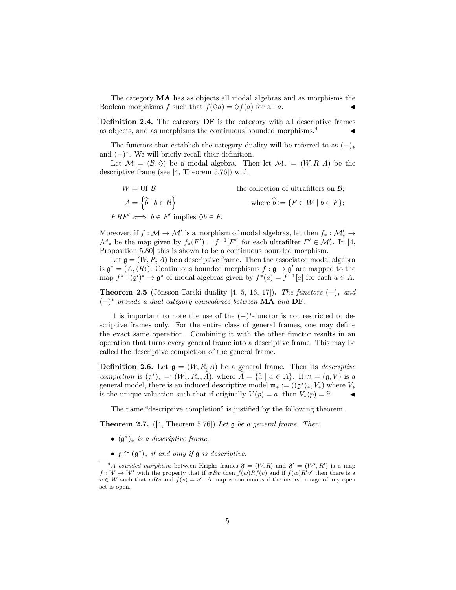The category MA has as objects all modal algebras and as morphisms the Boolean morphisms f such that  $f(\Diamond a) = \Diamond f(a)$  for all a.

Definition 2.4. The category DF is the category with all descriptive frames as objects, and as morphisms the continuous bounded morphisms.<sup>[4](#page-4-0)</sup>

The functors that establish the category duality will be referred to as  $(-)_*$ and  $(-)^*$ . We will briefly recall their definition.

Let  $\mathcal{M} = (\mathcal{B}, \Diamond)$  be a modal algebra. Then let  $\mathcal{M}_* = (W, R, A)$  be the descriptive frame (see [\[4,](#page-26-1) Theorem 5.76]) with

 $W = \text{Uf } \mathcal{B}$  the collection of ultrafilters on  $\mathcal{B}$ ;  $A = \left\{\widehat{b} \mid b \in \mathcal{B}\right\}$ where  $\widehat{b} := \{F \in W \mid b \in F\};$  $F R F' \iff b \in F'$  implies  $\Diamond b \in F$ .

Moreover, if  $f: \mathcal{M} \to \mathcal{M}'$  is a morphism of modal algebras, let then  $f_*: \mathcal{M}'_* \to$  $\mathcal{M}_{*}$  be the map given by  $f_{*}(F') = f^{-1}[F']$  for each ultrafilter  $F' \in \mathcal{M}'_{*}$ . In [\[4,](#page-26-1) Proposition 5.80] this is shown to be a continuous bounded morphism.

Let  $\mathfrak{g} = (W, R, A)$  be a descriptive frame. Then the associated modal algebra is  $\mathfrak{g}^* = (A, \langle R \rangle)$ . Continuous bounded morphisms  $f : \mathfrak{g} \to \mathfrak{g}'$  are mapped to the map  $f^*: (\mathfrak{g}')^* \to \mathfrak{g}^*$  of modal algebras given by  $f^*(a) = f^{-1}[a]$  for each  $a \in A$ .

**Theorem 2.5** (Jónsson-Tarski duality [\[4,](#page-26-1) [5,](#page-26-3) [16,](#page-27-7) [17\]](#page-27-10)). The functors  $(-)_*$  and  $(-)^*$  provide a dual category equivalence between MA and DF.

It is important to note the use of the  $(-)$ <sup>\*</sup>-functor is not restricted to descriptive frames only. For the entire class of general frames, one may define the exact same operation. Combining it with the other functor results in an operation that turns every general frame into a descriptive frame. This may be called the descriptive completion of the general frame.

<span id="page-4-1"></span>**Definition 2.6.** Let  $\mathfrak{g} = (W, R, A)$  be a general frame. Then its *descriptive* completion is  $(\mathfrak{g}^*)_* =: (W_*, R_*, \hat{A})$ , where  $\hat{A} = {\hat{a} \mid a \in A}$ . If  $\mathfrak{m} = (\mathfrak{g}, V)$  is a general model, there is an induced descriptive model  $\mathfrak{m} := ((\mathfrak{g}^*) - V)$  where V general model, there is an induced descriptive model  $\mathfrak{m}_* := ((\mathfrak{g}^*)_*, V_*)$  where  $V_*$ is the unique valuation such that if originally  $V(p) = a$ , then  $V_*(p) = \hat{a}$ .

The name "descriptive completion" is justified by the following theorem.

**Theorem 2.7.** ([\[4,](#page-26-1) Theorem 5.76]) Let  $\mathfrak g$  be a general frame. Then

- $(\mathfrak{g}^*)_*$  is a descriptive frame,
- <span id="page-4-0"></span>•  $\mathfrak{g} \cong (\mathfrak{g}^*)_*$  if and only if  $\mathfrak{g}$  is descriptive.

<sup>&</sup>lt;sup>4</sup>A bounded morphism between Kripke frames  $\mathfrak{F} = (W, R)$  and  $\mathfrak{F}' = (W', R')$  is a map  $f: W \to W'$  with the property that if  $wRv$  then  $f(w)Rf(v)$  and if  $f(w)R'v'$  then there is a  $v \in W$  such that  $wRv$  and  $f(v) = v'$ . A map is continuous if the inverse image of any open set is open.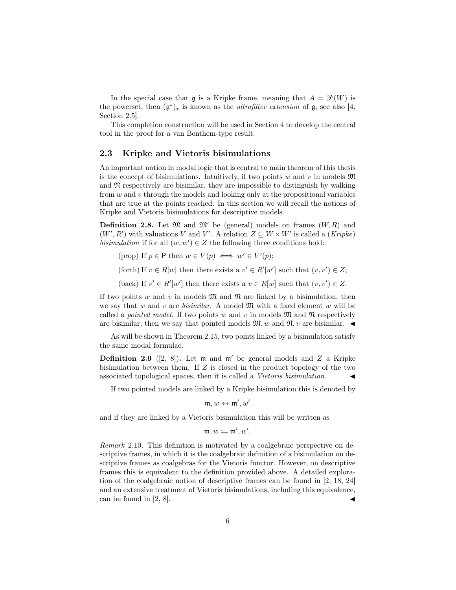In the special case that  $\mathfrak g$  is a Kripke frame, meaning that  $A = \mathcal P(W)$  is the powerset, then  $(\mathfrak{g}^*)_*$  is known as the *ultrafilter extension* of  $\mathfrak{g}$ , see also [\[4,](#page-26-1) Section 2.5].

This completion construction will be used in Section [4](#page-12-0) to develop the central tool in the proof for a van Benthem-type result.

#### 2.3 Kripke and Vietoris bisimulations

An important notion in modal logic that is central to main theorem of this thesis is the concept of bisimulations. Intuitively, if two points w and v in models  $\mathfrak{M}$ and  $\mathfrak N$  respectively are bisimilar, they are impossible to distinguish by walking from  $w$  and  $v$  through the models and looking only at the propositional variables that are true at the points reached. In this section we will recall the notions of Kripke and Vietoris bisimulations for descriptive models.

**Definition 2.8.** Let  $\mathfrak{M}$  and  $\mathfrak{M}'$  be (general) models on frames  $(W, R)$  and  $(W', R')$  with valuations V and V'. A relation  $Z \subseteq W \times W'$  is called a (*Kripke*) bisimulation if for all  $(w, w') \in Z$  the following three conditions hold:

- (prop) If  $p \in \mathsf{P}$  then  $w \in V(p) \iff w' \in V'(p);$
- (forth) If  $v \in R[w]$  then there exists a  $v' \in R'[w']$  such that  $(v, v') \in Z$ ;
- (back) If  $v' \in R'[w']$  then there exists a  $v \in R[w]$  such that  $(v, v') \in Z$ .

If two points w and v in models  $\mathfrak{M}$  and  $\mathfrak{N}$  are linked by a bisimulation, then we say that w and v are bisimilar. A model  $\mathfrak{M}$  with a fixed element w will be called a *pointed model*. If two points w and v in models  $\mathfrak{M}$  and  $\mathfrak{N}$  respectively are bisimilar, then we say that pointed models  $\mathfrak{M}, w$  and  $\mathfrak{N}, v$  are bisimilar.  $\blacktriangleleft$ 

As will be shown in Theorem [2.15,](#page-7-0) two points linked by a bisimulation satisfy the same modal formulae.

**Definition 2.9** ([\[2,](#page-26-4) [8\]](#page-26-5)). Let  $m$  and  $m'$  be general models and Z a Kripke bisimulation between them. If Z is closed in the product topology of the two associated topological spaces, then it is called a Vietoris bisimulation.

If two pointed models are linked by a Kripke bisimulation this is denoted by

$$
\mathfrak{m},w \underline{\leftrightarrow} \mathfrak{m}',w'
$$

and if they are linked by a Vietoris bisimulation this will be written as

$$
\mathfrak{m},w \leftrightharpoons \mathfrak{m}',w'.
$$

Remark 2.10. This definition is motivated by a coalgebraic perspective on descriptive frames, in which it is the coalgebraic definition of a bisimulation on descriptive frames as coalgebras for the Vietoris functor. However, on descriptive frames this is equivalent to the definition provided above. A detailed exploration of the coalgebraic notion of descriptive frames can be found in [\[2,](#page-26-4) [18,](#page-27-8) [24\]](#page-27-11) and an extensive treatment of Vietoris bisimulations, including this equivalence, can be found in  $[2, 8]$  $[2, 8]$ .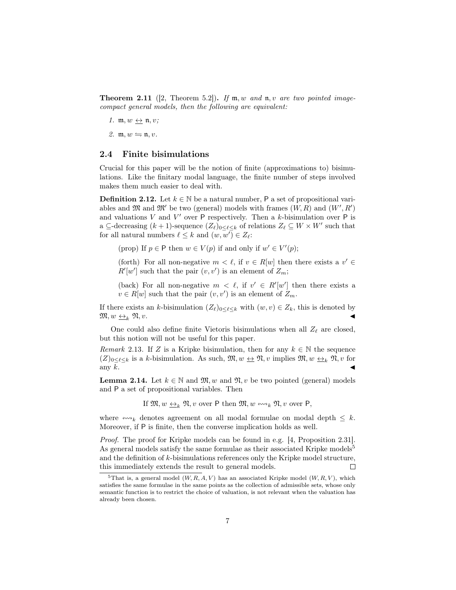<span id="page-6-3"></span>**Theorem 2.11** ([\[2,](#page-26-4) Theorem 5.2]). If  $m, w$  and  $n, v$  are two pointed imagecompact general models, then the following are equivalent:

- 1.  $\mathfrak{m}, w \leftrightarrow \mathfrak{n}, v;$
- 2.  $m, w \leftrightharpoons n, v$ .

### 2.4 Finite bisimulations

Crucial for this paper will be the notion of finite (approximations to) bisimulations. Like the finitary modal language, the finite number of steps involved makes them much easier to deal with.

**Definition 2.12.** Let  $k \in \mathbb{N}$  be a natural number, P a set of propositional variables and  $\mathfrak{M}$  and  $\mathfrak{M}'$  be two (general) models with frames  $(W, R)$  and  $(W', R')$ and valuations  $V$  and  $V'$  over  $P$  respectively. Then a k-bisimulation over  $P$  is a  $\subseteq$ -decreasing  $(k + 1)$ -sequence  $(Z_{\ell})_{0 \leq \ell \leq k}$  of relations  $Z_{\ell} \subseteq W \times W'$  such that for all natural numbers  $\ell \leq k$  and  $(w, w') \in Z_{\ell}$ :

(prop) If  $p \in \mathsf{P}$  then  $w \in V(p)$  if and only if  $w' \in V'(p)$ ;

(forth) For all non-negative  $m < \ell$ , if  $v \in R[w]$  then there exists a  $v' \in$  $R'[w']$  such that the pair  $(v, v')$  is an element of  $Z_m$ ;

(back) For all non-negative  $m < \ell$ , if  $v' \in R'[w']$  then there exists a  $v \in R[w]$  such that the pair  $(v, v')$  is an element of  $Z_m$ .

If there exists an k-bisimulation  $(Z_\ell)_{0\leq \ell \leq k}$  with  $(w, v) \in Z_k$ , this is denoted by  $\mathfrak{M}, w \underline{\leftrightarrow}_k \mathfrak{N}, v.$ 

One could also define finite Vietoris bisimulations when all  $Z_{\ell}$  are closed, but this notion will not be useful for this paper.

<span id="page-6-2"></span>Remark 2.13. If Z is a Kripke bisimulation, then for any  $k \in \mathbb{N}$  the sequence  $(Z)_{0\leq \ell \leq k}$  is a k-bisimulation. As such,  $\mathfrak{M}, w \leftrightarrow \mathfrak{N}, v$  implies  $\mathfrak{M}, w \leftrightarrow_k \mathfrak{N}, v$  for any  $\bar{k}$ .

<span id="page-6-1"></span>**Lemma 2.14.** Let  $k \in \mathbb{N}$  and  $\mathfrak{M}, w$  and  $\mathfrak{N}, v$  be two pointed (general) models and P a set of propositional variables. Then

If  $\mathfrak{M}, w \leftrightarrow_k \mathfrak{N}, v$  over P then  $\mathfrak{M}, w \leftrightarrow_k \mathfrak{N}, v$  over P,

where  $\leftrightarrow \rightarrow k$  denotes agreement on all modal formulae on modal depth  $\leq k$ . Moreover, if P is finite, then the converse implication holds as well.

*Proof.* The proof for Kripke models can be found in e.g. [\[4,](#page-26-1) Proposition 2.31]. As general models satisfy the same formulae as their associated Kripke models<sup>[5](#page-6-0)</sup> and the definition of  $k$ -bisimulations references only the Kripke model structure, this immediately extends the result to general models.  $\Box$ 

<span id="page-6-0"></span><sup>&</sup>lt;sup>5</sup>That is, a general model  $(W, R, A, V)$  has an associated Kripke model  $(W, R, V)$ , which satisfies the same formulae in the same points as the collection of admissible sets, whose only semantic function is to restrict the choice of valuation, is not relevant when the valuation has already been chosen.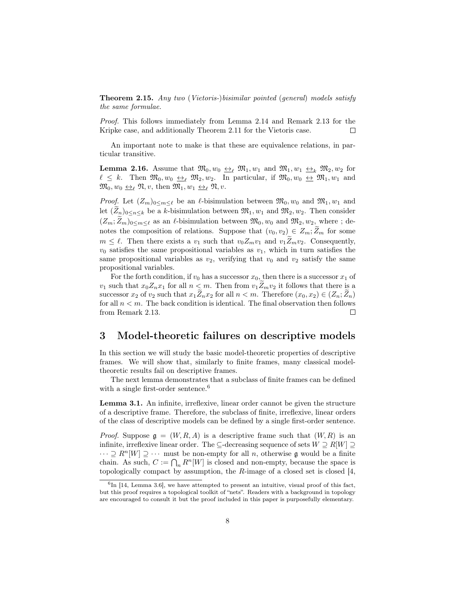<span id="page-7-0"></span>**Theorem 2.15.** Any two (Vietoris-)bisimilar pointed (general) models satisfy the same formulae.

Proof. This follows immediately from Lemma [2.14](#page-6-1) and Remark [2.13](#page-6-2) for the Kripke case, and additionally Theorem [2.11](#page-6-3) for the Vietoris case.  $\Box$ 

An important note to make is that these are equivalence relations, in particular transitive.

**Lemma 2.16.** Assume that  $\mathfrak{M}_0, w_0 \leftrightarrow_{\ell} \mathfrak{M}_1, w_1$  and  $\mathfrak{M}_1, w_1 \leftrightarrow_{k} \mathfrak{M}_2, w_2$  for  $\ell \leq k$ . Then  $\mathfrak{M}_0, w_0 \leftrightarrow_{\ell} \mathfrak{M}_2, w_2$ . In particular, if  $\mathfrak{M}_0, w_0 \leftrightarrow_{\ell} \mathfrak{M}_1, w_1$  and  $\mathfrak{M}_0, w_0 \leftrightarrow_{\ell} \mathfrak{N}, v$ , then  $\mathfrak{M}_1, w_1 \leftrightarrow_{\ell} \mathfrak{N}, v$ .

*Proof.* Let  $(Z_m)_{0 \le m \le \ell}$  be an  $\ell$ -bisimulation between  $\mathfrak{M}_0, w_0$  and  $\mathfrak{M}_1, w_1$  and let  $(Z_n)_{0 \leq n \leq k}$  be a k-bisimulation between  $\mathfrak{M}_1, w_1$  and  $\mathfrak{M}_2, w_2$ . Then consider  $(Z_m;\tilde{Z}_m)_{0\leq m\leq \ell}$  as an  $\ell$ -bisimulation between  $\mathfrak{M}_0, w_0$  and  $\mathfrak{M}_2, w_2$ , where ; denotes the composition of relations. Suppose that  $(v_0, v_2) \in Z_m; Z_m$  for some  $m \leq \ell$ . Then there exists a  $v_1$  such that  $v_0Z_mv_1$  and  $v_1Z_mv_2$ . Consequently,  $v_0$  satisfies the same propositional variables as  $v_1$ , which in turn satisfies the same propositional variables as  $v_2$ , verifying that  $v_0$  and  $v_2$  satisfy the same propositional variables.

For the forth condition, if  $v_0$  has a successor  $x_0$ , then there is a successor  $x_1$  of  $v_1$  such that  $x_0Z_nx_1$  for all  $n < m$ . Then from  $v_1Z_mv_2$  it follows that there is a successor  $x_2$  of  $v_2$  such that  $x_1\widetilde{Z}_n x_2$  for all  $n < m$ . Therefore  $(x_0, x_2) \in (Z_n; \widetilde{Z}_n)$ for all  $n < m$ . The back condition is identical. The final observation then follows from Remark [2.13.](#page-6-2)  $\Box$ 

### 3 Model-theoretic failures on descriptive models

In this section we will study the basic model-theoretic properties of descriptive frames. We will show that, similarly to finite frames, many classical modeltheoretic results fail on descriptive frames.

The next lemma demonstrates that a subclass of finite frames can be defined with a single first-order sentence.<sup>[6](#page-7-1)</sup>

<span id="page-7-2"></span>Lemma 3.1. An infinite, irreflexive, linear order cannot be given the structure of a descriptive frame. Therefore, the subclass of finite, irreflexive, linear orders of the class of descriptive models can be defined by a single first-order sentence.

*Proof.* Suppose  $g = (W, R, A)$  is a descriptive frame such that  $(W, R)$  is an infinite, irreflexive linear order. The ⊆-decreasing sequence of sets  $W \supseteq R[W] \supseteq$  $\cdots \supseteq R^{n}[W] \supseteq \cdots$  must be non-empty for all n, otherwise g would be a finite chain. As such,  $C := \bigcap_n R^n[W]$  is closed and non-empty, because the space is topologically compact by assumption, the  $R$ -image of a closed set is closed [\[4,](#page-26-1)

<span id="page-7-1"></span> ${}^{6}$ In [\[14,](#page-27-6) Lemma 3.6], we have attempted to present an intuitive, visual proof of this fact, but this proof requires a topological toolkit of "nets". Readers with a background in topology are encouraged to consult it but the proof included in this paper is purposefully elementary.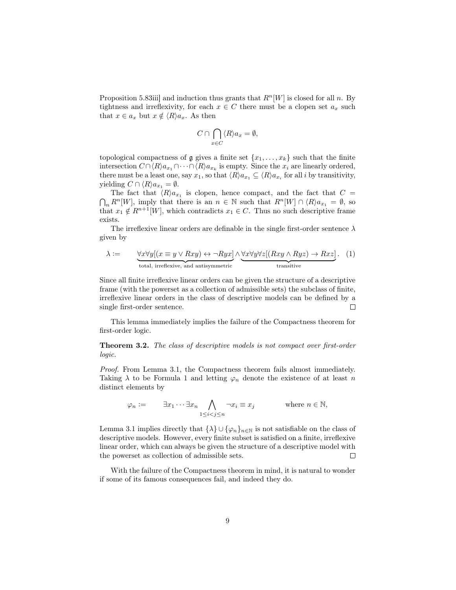Proposition 5.83iii] and induction thus grants that  $R<sup>n</sup>[W]$  is closed for all n. By tightness and irreflexivity, for each  $x \in C$  there must be a clopen set  $a_x$  such that  $x \in a_x$  but  $x \notin \langle R \rangle a_x$ . As then

$$
C \cap \bigcap_{x \in C} \langle R \rangle a_x = \emptyset,
$$

topological compactness of  $\mathfrak g$  gives a finite set  $\{x_1, \ldots, x_k\}$  such that the finite intersection  $C \cap \langle R \rangle a_{x_1} \cap \cdots \cap \langle R \rangle a_{x_k}$  is empty. Since the  $x_i$  are linearly ordered, there must be a least one, say  $x_1$ , so that  $\langle R \rangle a_{x_1} \subseteq \langle R \rangle a_{x_i}$  for all i by transitivity, yielding  $C \cap \langle R \rangle a_{x_1} = \emptyset$ .

The fact that  $\langle R \rangle a_{x_1}$  is clopen, hence compact, and the fact that  $C =$  $\bigcap_n R^n[W]$ , imply that there is an  $n \in \mathbb{N}$  such that  $R^n[W] \cap \langle R \rangle a_{x_1} = \emptyset$ , so that  $x_1 \notin R^{n+1}[W]$ , which contradicts  $x_1 \in C$ . Thus no such descriptive frame exists.

The irreflexive linear orders are definable in the single first-order sentence  $\lambda$ given by

<span id="page-8-0"></span>
$$
\lambda := \underbrace{\forall x \forall y [(x \equiv y \lor Rxy) \leftrightarrow \neg Ryx]}_{\text{total, irreflexive, and antisymmetric}} \land \underbrace{\forall x \forall y \forall z [(Rxy \land Ryz) \to Rxz]}_{\text{transitive}}.
$$
 (1)

Since all finite irreflexive linear orders can be given the structure of a descriptive frame (with the powerset as a collection of admissible sets) the subclass of finite, irreflexive linear orders in the class of descriptive models can be defined by a single first-order sentence.  $\Box$ 

This lemma immediately implies the failure of the Compactness theorem for first-order logic.

Theorem 3.2. The class of descriptive models is not compact over first-order logic.

Proof. From Lemma [3.1,](#page-7-2) the Compactness theorem fails almost immediately. Taking  $\lambda$  to be Formula [1](#page-8-0) and letting  $\varphi_n$  denote the existence of at least n distinct elements by

$$
\varphi_n := \qquad \exists x_1 \cdots \exists x_n \bigwedge_{1 \leq i < j \leq n} \neg x_i \equiv x_j \qquad \text{where } n \in \mathbb{N},
$$

Lemma [3.1](#page-7-2) implies directly that  $\{\lambda\} \cup \{\varphi_n\}_{n\in\mathbb{N}}$  is not satisfiable on the class of descriptive models. However, every finite subset is satisfied on a finite, irreflexive linear order, which can always be given the structure of a descriptive model with the powerset as collection of admissible sets.  $\Box$ 

With the failure of the Compactness theorem in mind, it is natural to wonder if some of its famous consequences fail, and indeed they do.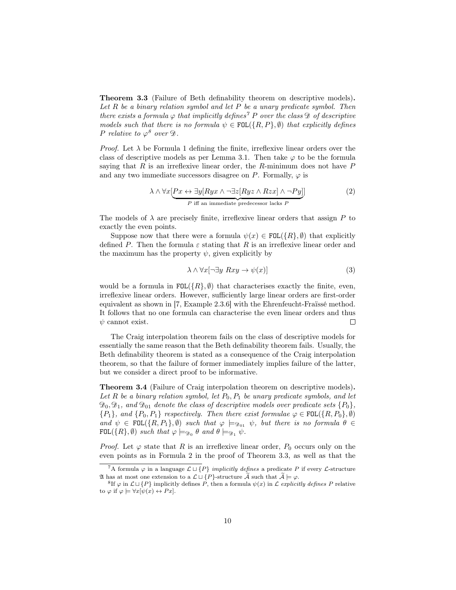<span id="page-9-3"></span>Theorem 3.3 (Failure of Beth definability theorem on descriptive models). Let  $R$  be a binary relation symbol and let  $P$  be a unary predicate symbol. Then there exists a formula  $\varphi$  that implicitly defines<sup>[7](#page-9-0)</sup> P over the class D of descriptive models such that there is no formula  $\psi \in \text{FOL}(\{R, P\}, \emptyset)$  that explicitly defines P relative to  $\varphi^8$  $\varphi^8$  over  $\mathfrak{D}$ .

*Proof.* Let  $\lambda$  be Formula [1](#page-8-0) defining the finite, irreflexive linear orders over the class of descriptive models as per Lemma [3.1.](#page-7-2) Then take  $\varphi$  to be the formula saying that R is an irreflexive linear order, the R-minimum does not have  $P$ and any two immediate successors disagree on P. Formally,  $\varphi$  is

<span id="page-9-2"></span>
$$
\lambda \wedge \forall x \left[ Px \leftrightarrow \exists y \left[ Ryx \wedge \neg \exists z \left[ Ryz \wedge Rzx \right] \wedge \neg Py \right] \right] \tag{2}
$$
\n
$$
P \text{ iff an immediate predecessor lacks } P
$$

The models of  $\lambda$  are precisely finite, irreflexive linear orders that assign P to exactly the even points.

Suppose now that there were a formula  $\psi(x) \in \text{FOL}(\lbrace R \rbrace, \emptyset)$  that explicitly defined P. Then the formula  $\varepsilon$  stating that R is an irreflexive linear order and the maximum has the property  $\psi$ , given explicitly by

<span id="page-9-4"></span>
$$
\lambda \wedge \forall x [\neg \exists y \; Rxy \to \psi(x)] \tag{3}
$$

would be a formula in  $FOL(\lbrace R \rbrace, \emptyset)$  that characterises exactly the finite, even, irreflexive linear orders. However, sufficiently large linear orders are first-order equivalent as shown in [\[7,](#page-26-6) Example 2.3.6] with the Ehrenfeucht-Fraïssé method. It follows that no one formula can characterise the even linear orders and thus  $\psi$  cannot exist.  $\Box$ 

The Craig interpolation theorem fails on the class of descriptive models for essentially the same reason that the Beth definability theorem fails. Usually, the Beth definability theorem is stated as a consequence of the Craig interpolation theorem, so that the failure of former immediately implies failure of the latter, but we consider a direct proof to be informative.

Theorem 3.4 (Failure of Craig interpolation theorem on descriptive models). Let R be a binary relation symbol, let  $P_0$ ,  $P_1$  be unary predicate symbols, and let  $\mathfrak{D}_0, \mathfrak{D}_1$ , and  $\mathfrak{D}_{01}$  denote the class of descriptive models over predicate sets  $\{P_0\},$  ${P_1},$  and  ${P_0, P_1}$  respectively. Then there exist formulae  $\varphi \in \text{FOL}({R, P_0}, \emptyset)$ and  $\psi \in \text{FOL}(\{R, P_1\}, \emptyset)$  such that  $\varphi \models_{\mathfrak{D}_{01}} \psi$ , but there is no formula  $\theta \in$  $\texttt{FOL}(\{R\}, \emptyset)$  such that  $\varphi \models_{\mathfrak{D}_0} \theta$  and  $\theta \models_{\mathfrak{D}_1} \psi$ .

*Proof.* Let  $\varphi$  state that R is an irreflexive linear order,  $P_0$  occurs only on the even points as in Formula [2](#page-9-2) in the proof of Theorem [3.3,](#page-9-3) as well as that the

<span id="page-9-0"></span><sup>&</sup>lt;sup>7</sup>A formula  $\varphi$  in a language  $\mathcal{L} \sqcup \{P\}$  *implicitly defines* a predicate P if every  $\mathcal{L}$ -structure  $\mathfrak A$  has at most one extension to a  $\mathcal L \sqcup \{P\}$ -structure  $\widetilde{\mathcal A}$  such that  $\widetilde{\mathcal A} \models \varphi$ .

<span id="page-9-1"></span><sup>&</sup>lt;sup>8</sup>If  $\varphi$  in  $\mathcal{L} \sqcup \{P\}$  implicitly defines P, then a formula  $\psi(x)$  in  $\mathcal{L}$  explicitly defines P relative to  $\varphi$  if  $\varphi \models \forall x [\psi(x) \leftrightarrow Px].$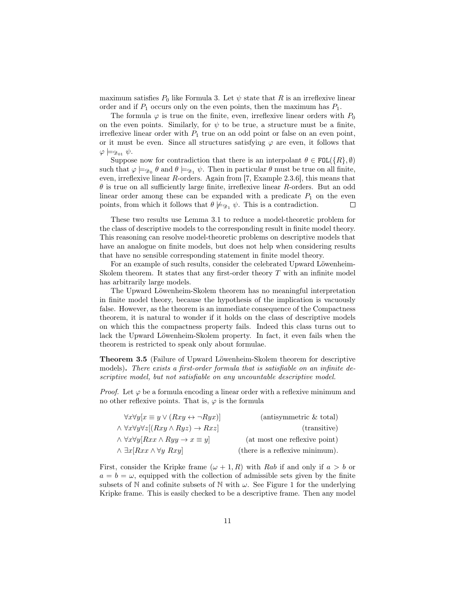maximum satisfies  $P_0$  like Formula [3.](#page-9-4) Let  $\psi$  state that R is an irreflexive linear order and if  $P_1$  occurs only on the even points, then the maximum has  $P_1$ .

The formula  $\varphi$  is true on the finite, even, irreflexive linear orders with  $P_0$ on the even points. Similarly, for  $\psi$  to be true, a structure must be a finite, irreflexive linear order with  $P_1$  true on an odd point or false on an even point, or it must be even. Since all structures satisfying  $\varphi$  are even, it follows that  $\varphi \models_{\mathfrak{D}_{01}} \psi.$ 

Suppose now for contradiction that there is an interpolant  $\theta \in \text{FOL}(\{R\}, \emptyset)$ such that  $\varphi \models_{\mathfrak{D}_0} \theta$  and  $\theta \models_{\mathfrak{D}_1} \psi$ . Then in particular  $\theta$  must be true on all finite, even, irreflexive linear R-orders. Again from [\[7,](#page-26-6) Example 2.3.6], this means that  $\theta$  is true on all sufficiently large finite, irreflexive linear R-orders. But an odd linear order among these can be expanded with a predicate  $P_1$  on the even points, from which it follows that  $\theta \not\models_{\mathfrak{D}_1} \psi$ . This is a contradiction.  $\Box$ 

These two results use Lemma [3.1](#page-7-2) to reduce a model-theoretic problem for the class of descriptive models to the corresponding result in finite model theory. This reasoning can resolve model-theoretic problems on descriptive models that have an analogue on finite models, but does not help when considering results that have no sensible corresponding statement in finite model theory.

For an example of such results, consider the celebrated Upward Löwenheim-Skolem theorem. It states that any first-order theory  $T$  with an infinite model has arbitrarily large models.

The Upward Löwenheim-Skolem theorem has no meaningful interpretation in finite model theory, because the hypothesis of the implication is vacuously false. However, as the theorem is an immediate consequence of the Compactness theorem, it is natural to wonder if it holds on the class of descriptive models on which this the compactness property fails. Indeed this class turns out to lack the Upward Löwenheim-Skolem property. In fact, it even fails when the theorem is restricted to speak only about formulae.

Theorem 3.5 (Failure of Upward Löwenheim-Skolem theorem for descriptive models). There exists a first-order formula that is satisfiable on an infinite descriptive model, but not satisfiable on any uncountable descriptive model.

*Proof.* Let  $\varphi$  be a formula encoding a linear order with a reflexive minimum and no other reflexive points. That is,  $\varphi$  is the formula

| $\forall x \forall y [x \equiv y \lor (Rxy \leftrightarrow \neg Ryx)]$  | $(antisymmetric \& total)$      |
|-------------------------------------------------------------------------|---------------------------------|
| $\land \forall x \forall y \forall z [(Rxy \land Ryz) \rightarrow Rxz]$ | (transitive)                    |
| $\wedge \forall x \forall y [Rxx \wedge Ryy \rightarrow x \equiv y]$    | (at most one reflexive point)   |
| $\wedge \exists x [Rxx \wedge \forall y Rxy]$                           | (there is a reflexive minimum). |

First, consider the Kripke frame  $(\omega + 1, R)$  with Rab if and only if  $a > b$  or  $a = b = \omega$ , equipped with the collection of admissible sets given by the finite subsets of N and cofinite subsets of N with  $\omega$ . See Figure [1](#page-11-0) for the underlying Kripke frame. This is easily checked to be a descriptive frame. Then any model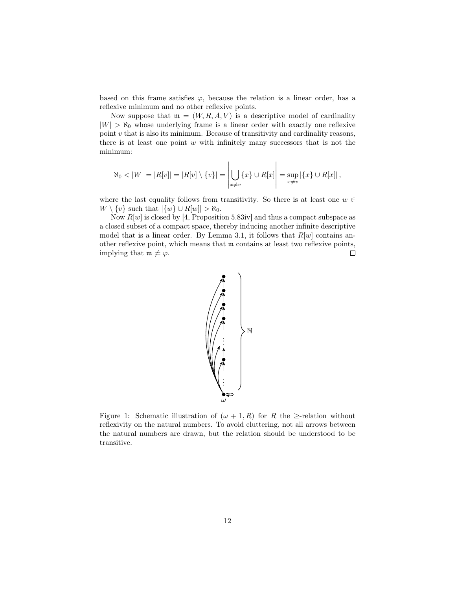based on this frame satisfies  $\varphi$ , because the relation is a linear order, has a reflexive minimum and no other reflexive points.

Now suppose that  $\mathfrak{m} = (W, R, A, V)$  is a descriptive model of cardinality  $|W| > \aleph_0$  whose underlying frame is a linear order with exactly one reflexive point v that is also its minimum. Because of transitivity and cardinality reasons, there is at least one point  $w$  with infinitely many successors that is not the minimum:

$$
\aleph_0 < |W| = |R[v]| = |R[v] \setminus \{v\}| = \left| \bigcup_{x \neq v} \{x\} \cup R[x] \right| = \sup_{x \neq v} |\{x\} \cup R[x]|,
$$

where the last equality follows from transitivity. So there is at least one  $w \in$  $W \setminus \{v\}$  such that  $|\{w\} \cup R[w]| > \aleph_0$ .

<span id="page-11-0"></span>Now  $R[w]$  is closed by [\[4,](#page-26-1) Proposition 5.83iv] and thus a compact subspace as a closed subset of a compact space, thereby inducing another infinite descriptive model that is a linear order. By Lemma [3.1,](#page-7-2) it follows that  $R[w]$  contains another reflexive point, which means that m contains at least two reflexive points, implying that  $\mathfrak{m} \not\models \varphi$ .  $\Box$ 



Figure 1: Schematic illustration of  $(\omega + 1, R)$  for R the  $\geq$ -relation without reflexivity on the natural numbers. To avoid cluttering, not all arrows between the natural numbers are drawn, but the relation should be understood to be transitive.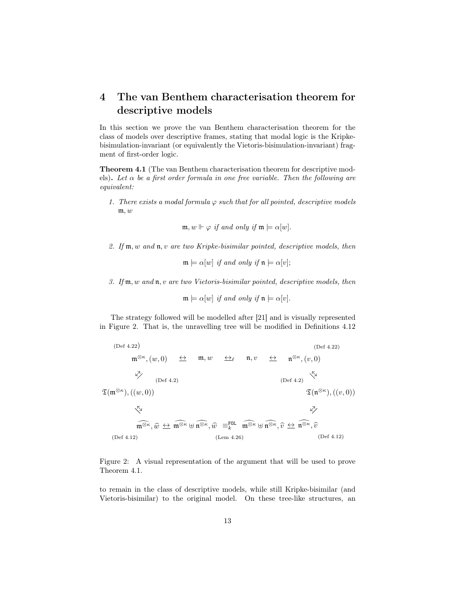## <span id="page-12-0"></span>4 The van Benthem characterisation theorem for descriptive models

In this section we prove the van Benthem characterisation theorem for the class of models over descriptive frames, stating that modal logic is the Kripkebisimulation-invariant (or equivalently the Vietoris-bisimulation-invariant) fragment of first-order logic.

<span id="page-12-2"></span>Theorem 4.1 (The van Benthem characterisation theorem for descriptive models). Let  $\alpha$  be a first order formula in one free variable. Then the following are equivalent:

1. There exists a modal formula  $\varphi$  such that for all pointed, descriptive models m, w

$$
\mathfrak{m}, w \Vdash \varphi \text{ if and only if } \mathfrak{m} \models \alpha[w].
$$

2. If  $m, w$  and  $n, v$  are two Kripke-bisimilar pointed, descriptive models, then

 $\mathfrak{m} \models \alpha[w]$  if and only if  $\mathfrak{n} \models \alpha[v]$ ;

3. If m, w and n, v are two Vietoris-bisimilar pointed, descriptive models, then

$$
\mathfrak{m} \models \alpha[w] \text{ if and only if } \mathfrak{n} \models \alpha[v].
$$

The strategy followed will be modelled after [\[21\]](#page-27-5) and is visually represented in Figure [2.](#page-12-1) That is, the unravelling tree will be modified in Definitions [4.12](#page-17-0)

<span id="page-12-1"></span>

Figure 2: A visual representation of the argument that will be used to prove Theorem [4.1.](#page-12-2)

to remain in the class of descriptive models, while still Kripke-bisimilar (and Vietoris-bisimilar) to the original model. On these tree-like structures, an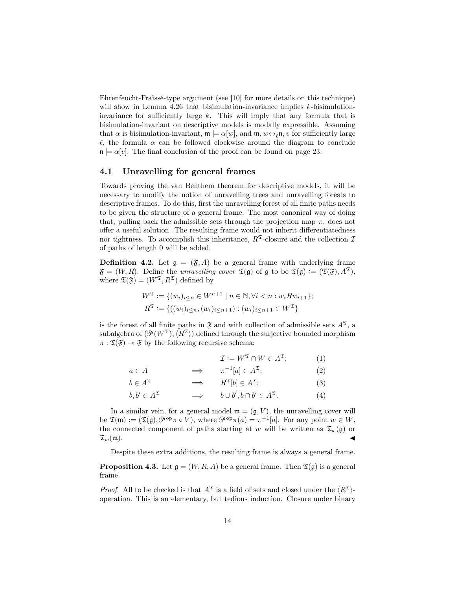Ehrenfeucht-Fraïssé-type argument (see [\[10\]](#page-26-7) for more details on this technique) will show in Lemma [4.26](#page-20-0) that bisimulation-invariance implies k-bisimulationinvariance for sufficiently large  $k$ . This will imply that any formula that is bisimulation-invariant on descriptive models is modally expressible. Assuming that  $\alpha$  is bisimulation-invariant,  $\mathfrak{m} \models \alpha[w]$ , and  $\mathfrak{m}, w \leftrightarrow_{\ell} \mathfrak{n}, v$  for sufficiently large  $\ell$ , the formula  $\alpha$  can be followed clockwise around the diagram to conclude  $n \models \alpha[v]$ . The final conclusion of the proof can be found on page [23.](#page-21-0)

#### 4.1 Unravelling for general frames

Towards proving the van Benthem theorem for descriptive models, it will be necessary to modify the notion of unravelling trees and unravelling forests to descriptive frames. To do this, first the unravelling forest of all finite paths needs to be given the structure of a general frame. The most canonical way of doing that, pulling back the admissible sets through the projection map  $\pi$ , does not offer a useful solution. The resulting frame would not inherit differentiatedness nor tightness. To accomplish this inheritance,  $R^2$ -closure and the collection  $\mathcal I$ of paths of length 0 will be added.

<span id="page-13-0"></span>**Definition 4.2.** Let  $g = (\mathfrak{F}, A)$  be a general frame with underlying frame  $\mathfrak{F} = (W, R)$ . Define the unravelling cover  $\mathfrak{T}(\mathfrak{g})$  of  $\mathfrak{g}$  to be  $\mathfrak{T}(\mathfrak{g}) := (\mathfrak{T}(\mathfrak{F}), A^{\mathfrak{T}})$ , where  $\mathfrak{T}(\mathfrak{F}) = (W^{\mathfrak{T}}, R^{\mathfrak{T}})$  defined by

$$
W^{\mathfrak{T}} := \{ (w_i)_{i \le n} \in W^{n+1} \mid n \in \mathbb{N}, \forall i < n : w_i R w_{i+1} \};
$$
\n
$$
R^{\mathfrak{T}} := \{ ((w_i)_{i \le n}, (w_i)_{i \le n+1}) : (w_i)_{i \le n+1} \in W^{\mathfrak{T}} \}
$$

is the forest of all finite paths in  $\mathfrak F$  and with collection of admissible sets  $A^{\mathfrak T}$ , a subalgebra of  $(\mathcal{P}(W^{\mathfrak{T}}),\langle R^{\mathfrak{T}}\rangle)$  defined through the surjective bounded morphism  $\pi : \mathfrak{T}(\mathfrak{F}) \to \mathfrak{F}$  by the following recursive schema:

$$
\mathcal{I} := W^{\mathfrak{T}} \cap W \in A^{\mathfrak{T}}; \tag{1}
$$

$$
a \in A \qquad \qquad \Longrightarrow \qquad \pi^{-1}[a] \in A^{\mathfrak{T}}; \tag{2}
$$

$$
b \in A^{\mathfrak{T}} \qquad \Longrightarrow \qquad R^{\mathfrak{T}}[b] \in A^{\mathfrak{T}}; \tag{3}
$$

$$
b, b' \in A^{\mathfrak{T}} \qquad \Longrightarrow \qquad b \cup b', b \cap b' \in A^{\mathfrak{T}}. \tag{4}
$$

In a similar vein, for a general model  $\mathfrak{m} = (\mathfrak{g}, V)$ , the unravelling cover will be  $\mathfrak{T}(\mathfrak{m}) := (\mathfrak{T}(\mathfrak{g}), \mathcal{P}^{\mathrm{op}} \pi \circ V)$ , where  $\mathcal{P}^{\mathrm{op}} \pi(a) = \pi^{-1}[a]$ . For any point  $w \in W$ , the connected component of paths starting at w will be written as  $\mathfrak{T}_w(\mathfrak{g})$  or  $\mathfrak{T}_w(\mathfrak{m}).$ 

Despite these extra additions, the resulting frame is always a general frame.

**Proposition 4.3.** Let  $\mathfrak{g} = (W, R, A)$  be a general frame. Then  $\mathfrak{T}(\mathfrak{g})$  is a general frame.

*Proof.* All to be checked is that  $A^{\mathfrak{T}}$  is a field of sets and closed under the  $\langle R^{\mathfrak{T}} \rangle$ operation. This is an elementary, but tedious induction. Closure under binary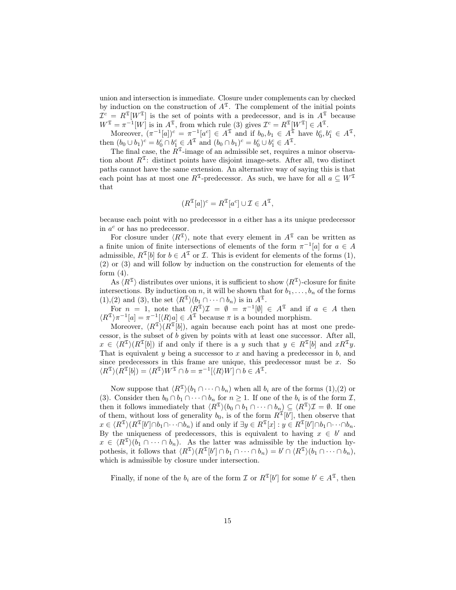union and intersection is immediate. Closure under complements can by checked by induction on the construction of  $A^{\mathfrak{T}}$ . The complement of the initial points  $\mathcal{I}^c = R^{\mathfrak{T}}[W^{\mathfrak{T}}]$  is the set of points with a predecessor, and is in  $A^{\mathfrak{T}}$  because  $W^{\mathfrak{T}} = \pi^{-1}[W]$  is in  $A^{\mathfrak{T}}$ , from which rule (3) gives  $\mathcal{I}^c = R^{\mathfrak{T}}[W^{\mathfrak{T}}] \in A^{\mathfrak{T}}$ .

Moreover,  $(\pi^{-1}[a])^c = \pi^{-1}[a^c] \in A^{\mathfrak{T}}$  and if  $b_0, b_1 \in A^{\mathfrak{T}}$  have  $b_0^c, b_1^c \in A^{\mathfrak{T}}$ , then  $(b_0 \cup b_1)^c = b_0^c \cap b_1^c \in A^{\mathfrak{T}}$  and  $(b_0 \cap b_1)^c = b_0^c \cup b_1^c \in A^{\mathfrak{T}}$ .

The final case, the  $R^2$ -image of an admissible set, requires a minor observation about  $R^{\mathfrak{T}}$ : distinct points have disjoint image-sets. After all, two distinct paths cannot have the same extension. An alternative way of saying this is that each point has at most one  $R^{\mathfrak{T}}$ -predecessor. As such, we have for all  $a \subseteq W^{\mathfrak{T}}$ that

$$
(R^{\mathfrak{T}}[a])^c = R^{\mathfrak{T}}[a^c] \cup \mathcal{I} \in A^{\mathfrak{T}},
$$

because each point with no predecessor in a either has a its unique predecessor in  $a^c$  or has no predecessor.

For closure under  $\langle R^{\mathfrak{T}} \rangle$ , note that every element in  $A^{\mathfrak{T}}$  can be written as a finite union of finite intersections of elements of the form  $\pi^{-1}[a]$  for  $a \in A$ admissible,  $R^{\mathfrak{T}}[b]$  for  $b \in A^{\mathfrak{T}}$  or  $\mathcal{I}$ . This is evident for elements of the forms (1), (2) or (3) and will follow by induction on the construction for elements of the form  $(4)$ .

As  $\langle R^{\mathfrak{T}} \rangle$  distributes over unions, it is sufficient to show  $\langle R^{\mathfrak{T}} \rangle$ -closure for finite intersections. By induction on n, it will be shown that for  $b_1, \ldots, b_n$  of the forms  $(1),(2)$  and  $(3)$ , the set  $\langle R^{\mathfrak{T}}\rangle(b_1 \cap \cdots \cap b_n)$  is in  $A^{\mathfrak{T}}$ .

For  $n = 1$ , note that  $\langle R^{\mathfrak{T}} \rangle \mathcal{I} = \emptyset = \pi^{-1}[\emptyset] \in A^{\mathfrak{T}}$  and if  $a \in A$  then  $\langle R^{\mathfrak{T}} \rangle \pi^{-1}[a] = \pi^{-1}[\langle R \rangle a] \in A^{\mathfrak{T}}$  because  $\pi$  is a bounded morphism.

Moreover,  $\langle R^{\mathfrak{T}}\rangle (R^{\mathfrak{T}}[b])$ , again because each point has at most one predecessor, is the subset of b given by points with at least one successor. After all,  $x \in \langle R^{\mathfrak{T}} \rangle (R^{\mathfrak{T}}[b])$  if and only if there is a y such that  $y \in R^{\mathfrak{T}}[b]$  and  $xR^{\mathfrak{T}}y$ . That is equivalent y being a successor to  $x$  and having a predecessor in  $b$ , and since predecessors in this frame are unique, this predecessor must be  $x$ . So  $\langle R^{\mathfrak{T}} | h | \rangle = \langle R^{\mathfrak{T}} \rangle W^{\mathfrak{T}} \cap b = \pi^{-1} [\langle R \rangle W] \cap b \in A^{\mathfrak{T}}.$ 

Now suppose that  $\langle R^{\mathfrak{T}}\rangle(b_1 \cap \cdots \cap b_n)$  when all  $b_i$  are of the forms (1),(2) or (3). Consider then  $b_0 \cap b_1 \cap \cdots \cap b_n$  for  $n \geq 1$ . If one of the  $b_i$  is of the form  $\mathcal{I}$ , then it follows immediately that  $\langle R^{\mathfrak{T}}\rangle(b_0 \cap b_1 \cap \cdots \cap b_n) \subseteq \langle R^{\mathfrak{T}}\rangle \mathcal{I} = \emptyset$ . If one of them, without loss of generality  $b_0$ , is of the form  $R^{\mathfrak{T}}[b']$ , then observe that  $x \in \langle R^{\mathfrak{T}} \rangle (R^{\mathfrak{T}}[b'] \cap b_1 \cap \cdots \cap b_n)$  if and only if  $\exists y \in R^{\mathfrak{T}}[x] : y \in R^{\mathfrak{T}}[b'] \cap b_1 \cap \cdots \cap b_n$ . By the uniqueness of predecessors, this is equivalent to having  $x \in b'$  and  $x \in \langle R^{\mathfrak{T}} \rangle (b_1 \cap \cdots \cap b_n)$ . As the latter was admissible by the induction hypothesis, it follows that  $\langle R^{\mathfrak{T}} \rangle (R^{\mathfrak{T}}[b'] \cap b_1 \cap \cdots \cap b_n) = b' \cap \langle R^{\mathfrak{T}} \rangle (b_1 \cap \cdots \cap b_n),$ which is admissible by closure under intersection.

Finally, if none of the  $b_i$  are of the form  $\mathcal I$  or  $R^{\mathfrak{T}}[b']$  for some  $b' \in A^{\mathfrak{T}}$ , then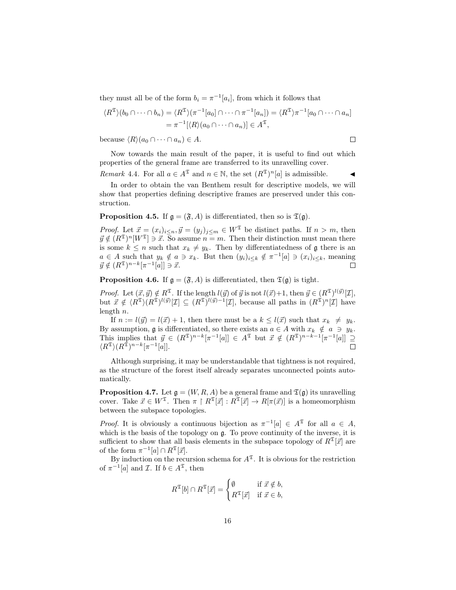they must all be of the form  $b_i = \pi^{-1}[a_i]$ , from which it follows that

$$
\langle R^{\mathfrak{T}} \rangle (b_0 \cap \cdots \cap b_n) = \langle R^{\mathfrak{T}} \rangle (\pi^{-1}[a_0] \cap \cdots \cap \pi^{-1}[a_n]) = \langle R^{\mathfrak{T}} \rangle \pi^{-1}[a_0 \cap \cdots \cap a_n]
$$
  
=  $\pi^{-1} [\langle R \rangle (a_0 \cap \cdots \cap a_n)] \in A^{\mathfrak{T}},$ 

because  $\langle R \rangle (a_0 \cap \cdots \cap a_n) \in A$ .

Now towards the main result of the paper, it is useful to find out which properties of the general frame are transferred to its unravelling cover.

Remark 4.4. For all  $a \in A^{\mathfrak{T}}$  and  $n \in \mathbb{N}$ , the set  $(R^{\mathfrak{T}})^n[a]$  is admissible.

In order to obtain the van Benthem result for descriptive models, we will show that properties defining descriptive frames are preserved under this construction.

<span id="page-15-0"></span>**Proposition 4.5.** If  $\mathfrak{g} = (\mathfrak{F}, A)$  is differentiated, then so is  $\mathfrak{T}(\mathfrak{g})$ .

*Proof.* Let  $\vec{x} = (x_i)_{i \leq n}, \vec{y} = (y_j)_{j \leq m} \in W^{\mathfrak{T}}$  be distinct paths. If  $n > m$ , then  $\vec{y} \notin (R^{\mathfrak{T}})^n[W^{\mathfrak{T}}] \ni \vec{x}$ . So assume  $n = m$ . Then their distinction must mean there is some  $k \leq n$  such that  $x_k \neq y_k$ . Then by differentiatedness of g there is an  $a \in A$  such that  $y_k \notin a \ni x_k$ . But then  $(y_i)_{i \leq k} \notin \pi^{-1}[a] \ni (x_i)_{i \leq k}$ , meaning  $\vec{y} \notin (R^{\mathfrak{T}})^{n-k} [\pi^{-1}[a]] \ni \vec{x}.$  $\Box$ 

<span id="page-15-1"></span>**Proposition 4.6.** If  $g = (\mathfrak{F}, A)$  is differentiated, then  $\mathfrak{T}(g)$  is tight.

*Proof.* Let  $(\vec{x}, \vec{y}) \notin R^{\mathfrak{T}}$ . If the length  $l(\vec{y})$  of  $\vec{y}$  is not  $l(\vec{x})+1$ , then  $\vec{y} \in (R^{\mathfrak{T}})^{l(\vec{y})}[\mathcal{I}],$ but  $\vec{x} \notin \langle R^{\mathfrak{T}} \rangle (R^{\mathfrak{T}})^{l(\vec{y})}[\mathcal{I}] \subseteq (R^{\mathfrak{T}})^{l(\vec{y})-1}[\mathcal{I}],$  because all paths in  $(R^{\mathfrak{T}})^n[\mathcal{I}]$  have length n.

If  $n := l(\vec{y}) = l(\vec{x}) + 1$ , then there must be a  $k \leq l(\vec{x})$  such that  $x_k \neq y_k$ . By assumption, g is differentiated, so there exists an  $a \in A$  with  $x_k \notin a \ni y_k$ . This implies that  $\vec{y} \in (R^{\mathfrak{T}})^{n-k}[\pi^{-1}[a]] \in A^{\mathfrak{T}}$  but  $\vec{x} \notin (R^{\mathfrak{T}})^{n-k-1}[\pi^{-1}[a]] \supseteq$  $\langle R^{\mathfrak{T}} \rangle (R^{\mathfrak{T}})^{n-k} [\pi^{-1}[a]].$  $\Box$ 

Although surprising, it may be understandable that tightness is not required, as the structure of the forest itself already separates unconnected points automatically.

**Proposition 4.7.** Let  $\mathfrak{g} = (W, R, A)$  be a general frame and  $\mathfrak{T}(\mathfrak{g})$  its unravelling cover. Take  $\vec{x} \in W^{\mathfrak{T}}$ . Then  $\pi \upharpoonright R^{\mathfrak{T}}[\vec{x}] : R^{\mathfrak{T}}[\vec{x}] \to R[\pi(\vec{x})]$  is a homeomorphism between the subspace topologies.

*Proof.* It is obviously a continuous bijection as  $\pi^{-1}[a] \in A^{\mathfrak{T}}$  for all  $a \in A$ , which is the basis of the topology on  $\mathfrak{g}$ . To prove continuity of the inverse, it is sufficient to show that all basis elements in the subspace topology of  $R^{\mathfrak{T}}[\vec{x}]$  are of the form  $\pi^{-1}[a] \cap R^{\mathfrak{T}}[\vec{x}].$ 

By induction on the recursion schema for  $A^{\mathfrak{T}}$ . It is obvious for the restriction of  $\pi^{-1}[a]$  and  $\mathcal{I}$ . If  $b \in A^{\mathfrak{T}}$ , then

$$
R^{\mathfrak{T}}[b] \cap R^{\mathfrak{T}}[\vec{x}] = \begin{cases} \emptyset & \text{if } \vec{x} \notin b, \\ R^{\mathfrak{T}}[\vec{x}] & \text{if } \vec{x} \in b, \end{cases}
$$

 $\Box$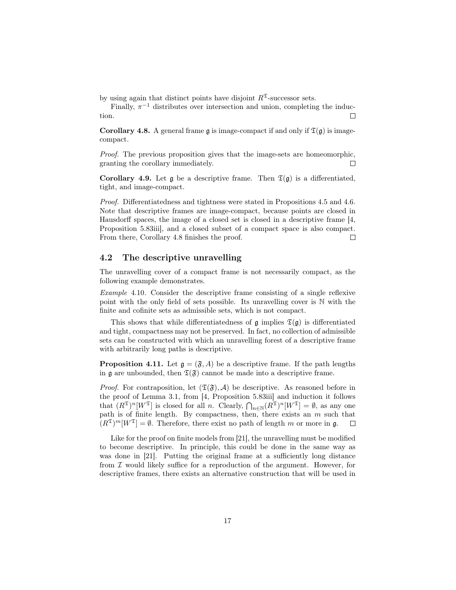by using again that distinct points have disjoint  $R^2$ -successor sets.

Finally,  $\pi^{-1}$  distributes over intersection and union, completing the induction.  $\Box$ 

<span id="page-16-0"></span>**Corollary 4.8.** A general frame g is image-compact if and only if  $\mathfrak{T}(\mathfrak{g})$  is imagecompact.

Proof. The previous proposition gives that the image-sets are homeomorphic, granting the corollary immediately.  $\Box$ 

Corollary 4.9. Let g be a descriptive frame. Then  $\mathfrak{T}(\mathfrak{g})$  is a differentiated, tight, and image-compact.

*Proof.* Differentiatedness and tightness were stated in Propositions [4.5](#page-15-0) and [4.6.](#page-15-1) Note that descriptive frames are image-compact, because points are closed in Hausdorff spaces, the image of a closed set is closed in a descriptive frame [\[4,](#page-26-1) Proposition 5.83iii], and a closed subset of a compact space is also compact. From there, Corollary [4.8](#page-16-0) finishes the proof.  $\Box$ 

### 4.2 The descriptive unravelling

The unravelling cover of a compact frame is not necessarily compact, as the following example demonstrates.

Example 4.10. Consider the descriptive frame consisting of a single reflexive point with the only field of sets possible. Its unravelling cover is N with the finite and cofinite sets as admissible sets, which is not compact.

This shows that while differentiatedness of  $\mathfrak{g}$  implies  $\mathfrak{I}(\mathfrak{g})$  is differentiated and tight, compactness may not be preserved. In fact, no collection of admissible sets can be constructed with which an unravelling forest of a descriptive frame with arbitrarily long paths is descriptive.

**Proposition 4.11.** Let  $\mathfrak{g} = (\mathfrak{F}, A)$  be a descriptive frame. If the path lengths in g are unbounded, then  $\mathfrak{T}(\mathfrak{F})$  cannot be made into a descriptive frame.

*Proof.* For contraposition, let  $(\mathfrak{T}(\mathfrak{F}), \mathcal{A})$  be descriptive. As reasoned before in the proof of Lemma [3.1,](#page-7-2) from [\[4,](#page-26-1) Proposition 5.83iii] and induction it follows that  $(R^{\mathfrak{T}})^n[W^{\mathfrak{T}}]$  is closed for all n. Clearly,  $\bigcap_{n\in\mathbb{N}}(R^{\mathfrak{T}})^n[W^{\mathfrak{T}}]=\emptyset$ , as any one path is of finite length. By compactness, then, there exists an  $m$  such that  $(R^{\mathfrak{T}})^m[W^{\mathfrak{T}}]=\emptyset$ . Therefore, there exist no path of length m or more in **g**.  $\Box$ 

Like for the proof on finite models from [\[21\]](#page-27-5), the unravelling must be modified to become descriptive. In principle, this could be done in the same way as was done in [\[21\]](#page-27-5). Putting the original frame at a sufficiently long distance from  $\mathcal I$  would likely suffice for a reproduction of the argument. However, for descriptive frames, there exists an alternative construction that will be used in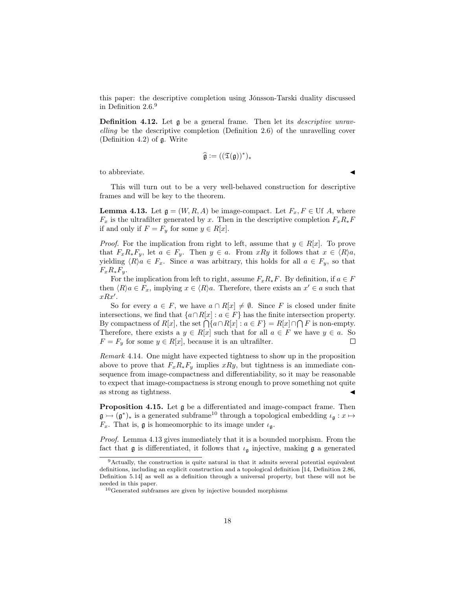this paper: the descriptive completion using Jónsson-Tarski duality discussed in Definition [2.6.](#page-4-1)[9](#page-17-1)

<span id="page-17-0"></span>**Definition 4.12.** Let  $\mathfrak{g}$  be a general frame. Then let its *descriptive unrav*elling be the descriptive completion (Definition [2.6\)](#page-4-1) of the unravelling cover (Definition [4.2\)](#page-13-0) of g. Write

$$
\widehat{\mathfrak{g}}:=((\mathfrak{T}(\mathfrak{g}))^*)_*
$$

to abbreviate.

This will turn out to be a very well-behaved construction for descriptive frames and will be key to the theorem.

<span id="page-17-3"></span>**Lemma 4.13.** Let  $\mathfrak{g} = (W, R, A)$  be image-compact. Let  $F_x, F \in \text{Uf } A$ , where  $F_x$  is the ultrafilter generated by x. Then in the descriptive completion  $F_xR_*F$ if and only if  $F = F_y$  for some  $y \in R[x]$ .

*Proof.* For the implication from right to left, assume that  $y \in R[x]$ . To prove that  $F_xR_*F_y$ , let  $a \in F_y$ . Then  $y \in a$ . From  $xRy$  it follows that  $x \in \langle R \rangle a$ , yielding  $\langle R \rangle a \in F_x$ . Since a was arbitrary, this holds for all  $a \in F_y$ , so that  $F_xR_*F_y.$ 

For the implication from left to right, assume  $F_xR_*F$ . By definition, if  $a \in F$ then  $\langle R \rangle a \in F_x$ , implying  $x \in \langle R \rangle a$ . Therefore, there exists an  $x' \in a$  such that  $xRx'$ .

So for every  $a \in F$ , we have  $a \cap R[x] \neq \emptyset$ . Since F is closed under finite intersections, we find that  $\{a \cap R[x] : a \in F\}$  has the finite intersection property. By compactness of  $R[x]$ , the set  $\bigcap \{a \cap R[x] : a \in F\} = R[x] \cap \bigcap F$  is non-empty. Therefore, there exists a  $y \in R[x]$  such that for all  $a \in F$  we have  $y \in a$ . So  $F = F_y$  for some  $y \in R[x]$ , because it is an ultrafilter.  $\Box$ 

Remark 4.14. One might have expected tightness to show up in the proposition above to prove that  $F_xR_*F_y$  implies xRy, but tightness is an immediate consequence from image-compactness and differentiability, so it may be reasonable to expect that image-compactness is strong enough to prove something not quite as strong as tightness.

<span id="page-17-4"></span>Proposition 4.15. Let g be a differentiated and image-compact frame. Then  $\mathfrak{g} \rightarrow (\mathfrak{g}^*)_*$  is a generated subframe<sup>[10](#page-17-2)</sup> through a topological embedding  $\iota_{\mathfrak{g}} : x \mapsto$  $F_x$ . That is, **g** is homeomorphic to its image under  $\iota_{\mathfrak{g}}$ .

*Proof.* Lemma [4.13](#page-17-3) gives immediately that it is a bounded morphism. From the fact that  $\mathfrak g$  is differentiated, it follows that  $\iota_{\mathfrak g}$  injective, making  $\mathfrak g$  a generated

<span id="page-17-1"></span><sup>9</sup>Actually, the construction is quite natural in that it admits several potential equivalent definitions, including an explicit construction and a topological definition [\[14,](#page-27-6) Definition 2.86, Definition 5.14] as well as a definition through a universal property, but these will not be needed in this paper.

<span id="page-17-2"></span> $^{10}\rm{Generated}$  subframes are given by injective bounded morphisms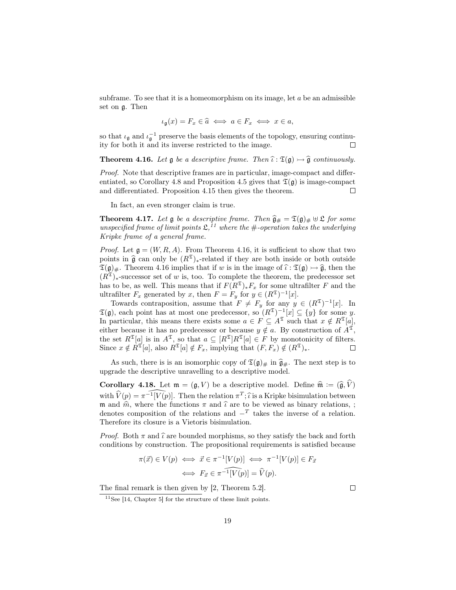subframe. To see that it is a homeomorphism on its image, let  $a$  be an admissible set on g. Then

$$
\iota_{\mathfrak{g}}(x) = F_x \in \widehat{a} \iff a \in F_x \iff x \in a,
$$

so that  $\iota_{\mathfrak{g}}$  and  $\iota_{\mathfrak{g}}^{-1}$  preserve the basis elements of the topology, ensuring continuity for both it and its inverse restricted to the image.  $\Box$ 

<span id="page-18-1"></span>**Theorem 4.16.** Let  $\mathfrak g$  be a descriptive frame. Then  $\widehat{\iota} : \mathfrak T(\mathfrak g) \rightarrow \widehat{\mathfrak g}$  continuously.

Proof. Note that descriptive frames are in particular, image-compact and differ-entiated, so Corollary [4.8](#page-16-0) and Proposition [4.5](#page-15-0) gives that  $\mathfrak{T}(\mathfrak{g})$  is image-compact and differentiated. Proposition [4.15](#page-17-4) then gives the theorem.  $\Box$ 

In fact, an even stronger claim is true.

<span id="page-18-3"></span>**Theorem 4.17.** Let  $\mathfrak{g}$  be a descriptive frame. Then  $\widehat{\mathfrak{g}}_{\#} = \mathfrak{T}(\mathfrak{g})_{\#} \oplus \mathfrak{L}$  for some unspecified frame of limit points  $\mathfrak{L}$ ,<sup>[11](#page-18-0)</sup> where the #-operation takes the underlying Kripke frame of a general frame.

*Proof.* Let  $\mathfrak{g} = (W, R, A)$ . From Theorem [4.16,](#page-18-1) it is sufficient to show that two points in  $\hat{\mathfrak{g}}$  can only be  $(R^{\mathfrak{T}})_{*}$ -related if they are both inside or both outside  $\mathfrak{T}(\mathfrak{g})_{\#}$ . Theorem [4.16](#page-18-1) implies that if w is in the image of  $\widehat{\iota} : \mathfrak{T}(\mathfrak{g}) \rightarrow \widehat{\mathfrak{g}}$ , then the  $(R^{\mathfrak{L}})_{*}$ -successor set of w is, too. To complete the theorem, the predecessor set has to be, as well. This means that if  $F(R^{\mathfrak{T}})_{*}F_{x}$  for some ultrafilter F and the ultrafilter  $F_x$  generated by x, then  $F = F_y$  for  $y \in (R^{\mathfrak{T}})^{-1}[x]$ .

Towards contraposition, assume that  $F \neq F_y$  for any  $y \in (R^{\mathfrak{T}})^{-1}[x]$ . In  $\mathfrak{T}(\mathfrak{g})$ , each point has at most one predecessor, so  $(R^{\mathfrak{T}})^{-1}[x] \subseteq \{y\}$  for some y. In particular, this means there exists some  $a \in F \subseteq A^{\mathfrak{T}}$  such that  $x \notin R^{\mathfrak{T}}[a]$ , either because it has no predecessor or because  $y \notin a$ . By construction of  $A^{\mathfrak{T}}$ , the set  $R^{\mathfrak{T}}[a]$  is in  $A^{\mathfrak{T}}$ , so that  $a \subseteq [R^{\mathfrak{T}}]R^{\mathfrak{T}}[a] \in F$  by monotonicity of filters. Since  $x \notin R^{\mathfrak{T}}[a]$ , also  $R^{\mathfrak{T}}[a] \notin F_x$ , implying that  $(F, F_x) \notin (R^{\mathfrak{T}})_*.$ 

As such, there is is an isomorphic copy of  $\mathfrak{T}(\mathfrak{g})_{\#}$  in  $\widehat{\mathfrak{g}}_{\#}$ . The next step is to upgrade the descriptive unravelling to a descriptive model.

<span id="page-18-2"></span>**Corollary 4.18.** Let  $\mathfrak{m} = (\mathfrak{g}, V)$  be a descriptive model. Define  $\widehat{\mathfrak{m}} := (\widehat{\mathfrak{g}}, \widehat{V})$ with  $\widehat{V}(p) = \widehat{\pi^{-1}[V(p)]}$ . Then the relation  $\pi^T$ ;  $\widehat{\iota}$  is a Kripke bisimulation between m and  $\hat{m}$ , where the functions  $\pi$  and  $\hat{\iota}$  are to be viewed as binary relations, ; denotes composition of the relations and  $-T$  takes the inverse of a relation. Therefore its closure is a Vietoris bisimulation.

*Proof.* Both  $\pi$  and  $\hat{\iota}$  are bounded morphisms, so they satisfy the back and forth conditions by construction. The propositional requirements is satisfied because

$$
\pi(\vec{x}) \in V(p) \iff \vec{x} \in \pi^{-1}[V(p)] \iff \pi^{-1}[V(p)] \in F_{\vec{x}} \iff F_{\vec{x}} \in \pi^{-1}[\widehat{V(p)}] = \widehat{V}(p).
$$

The final remark is then given by [\[2,](#page-26-4) Theorem 5.2].

 $\Box$ 

<span id="page-18-0"></span> $11$ See [\[14,](#page-27-6) Chapter 5] for the structure of these limit points.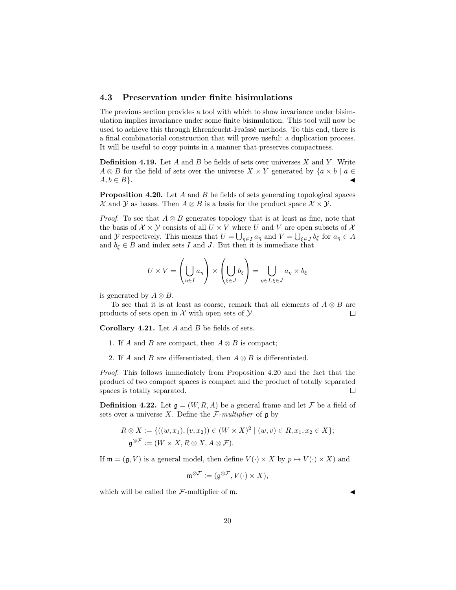#### 4.3 Preservation under finite bisimulations

The previous section provides a tool with which to show invariance under bisimulation implies invariance under some finite bisimulation. This tool will now be used to achieve this through Ehrenfeucht-Fraïssé methods. To this end, there is a final combinatorial construction that will prove useful: a duplication process. It will be useful to copy points in a manner that preserves compactness.

**Definition 4.19.** Let A and B be fields of sets over universes X and Y. Write  $A \otimes B$  for the field of sets over the universe  $X \times Y$  generated by  $\{a \times b \mid a \in$  $A, b \in B$ .

<span id="page-19-1"></span>**Proposition 4.20.** Let A and B be fields of sets generating topological spaces X and Y as bases. Then  $A \otimes B$  is a basis for the product space  $X \times Y$ .

*Proof.* To see that  $A \otimes B$  generates topology that is at least as fine, note that the basis of  $\mathcal{X} \times \mathcal{Y}$  consists of all  $U \times V$  where U and V are open subsets of X and Y respectively. This means that  $U = \bigcup_{\eta \in I} a_{\eta}$  and  $V = \bigcup_{\xi \in J} b_{\xi}$  for  $a_{\eta} \in A$ and  $b_{\xi} \in B$  and index sets I and J. But then it is immediate that

$$
U \times V = \left(\bigcup_{\eta \in I} a_{\eta}\right) \times \left(\bigcup_{\xi \in J} b_{\xi}\right) = \bigcup_{\eta \in I, \xi \in J} a_{\eta} \times b_{\xi}
$$

is generated by  $A \otimes B$ .

To see that it is at least as coarse, remark that all elements of  $A \otimes B$  are products of sets open in  $\mathcal X$  with open sets of  $\mathcal Y$ .  $\Box$ 

<span id="page-19-2"></span>**Corollary 4.21.** Let  $A$  and  $B$  be fields of sets.

- 1. If A and B are compact, then  $A \otimes B$  is compact;
- 2. If A and B are differentiated, then  $A \otimes B$  is differentiated.

Proof. This follows immediately from Proposition [4.20](#page-19-1) and the fact that the product of two compact spaces is compact and the product of totally separated spaces is totally separated.  $\Box$ 

<span id="page-19-0"></span>**Definition 4.22.** Let  $\mathfrak{g} = (W, R, A)$  be a general frame and let F be a field of sets over a universe X. Define the  $\mathcal{F}\text{-}multiplier$  of g by

$$
R \otimes X := \{((w, x_1), (v, x_2)) \in (W \times X)^2 \mid (w, v) \in R, x_1, x_2 \in X\};
$$
  

$$
\mathfrak{g}^{\otimes \mathcal{F}} := (W \times X, R \otimes X, A \otimes \mathcal{F}).
$$

If  $\mathfrak{m} = (\mathfrak{g}, V)$  is a general model, then define  $V(\cdot) \times X$  by  $p \mapsto V(\cdot) \times X$  and

$$
\mathfrak{m}^{\otimes \mathcal{F}} := (\mathfrak{g}^{\otimes \mathcal{F}}, V(\cdot) \times X),
$$

which will be called the  $\mathcal{F}\text{-multiplier of }\mathfrak{m}$ .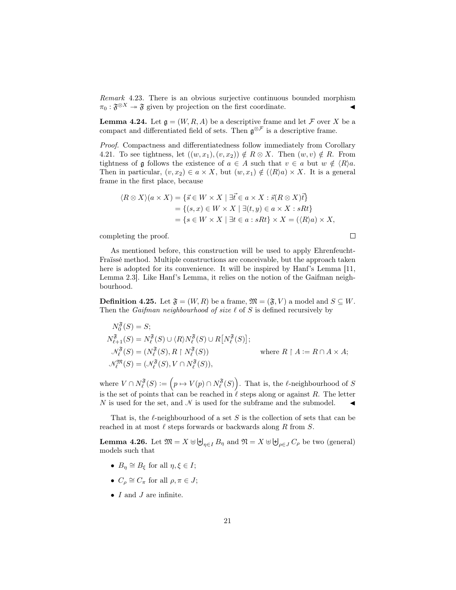<span id="page-20-1"></span>Remark 4.23. There is an obvious surjective continuous bounded morphism  $\pi_0: \mathfrak{F}^{\otimes X} \to \mathfrak{F}$  given by projection on the first coordinate.

**Lemma 4.24.** Let  $\mathfrak{g} = (W, R, A)$  be a descriptive frame and let  $\mathcal F$  over X be a compact and differentiated field of sets. Then  $\mathfrak{g}^{\otimes \mathcal{F}}$  is a descriptive frame.

Proof. Compactness and differentiatedness follow immediately from Corollary [4.21.](#page-19-2) To see tightness, let  $((w, x_1), (v, x_2)) \notin R \otimes X$ . Then  $(w, v) \notin R$ . From tightness of g follows the existence of  $a \in A$  such that  $v \in a$  but  $w \notin \langle R \rangle a$ . Then in particular,  $(v, x_2) \in a \times X$ , but  $(w, x_1) \notin (\langle R \rangle a) \times X$ . It is a general frame in the first place, because

$$
\langle R \otimes X \rangle (a \times X) = \{ \vec{s} \in W \times X \mid \exists \vec{t} \in a \times X : \vec{s} (R \otimes X) \vec{t} \}
$$
  
= \{ (s, x) \in W \times X \mid \exists (t, y) \in a \times X : sRt \}  
= \{ s \in W \times X \mid \exists t \in a : sRt \} \times X = (\langle R \rangle a) \times X,

completing the proof.

As mentioned before, this construction will be used to apply Ehrenfeucht-Fraïssé method. Multiple constructions are conceivable, but the approach taken here is adopted for its convenience. It will be inspired by Hanf's Lemma [\[11,](#page-26-8) Lemma 2.3]. Like Hanf's Lemma, it relies on the notion of the Gaifman neighbourhood.

 $\Box$ 

**Definition 4.25.** Let  $\mathfrak{F} = (W, R)$  be a frame,  $\mathfrak{M} = (\mathfrak{F}, V)$  a model and  $S \subseteq W$ . Then the *Gaifman neighbourhood of size*  $\ell$  of S is defined recursively by

$$
N_0^{\mathfrak{F}}(S) = S;
$$
  
\n
$$
N_{\ell+1}^{\mathfrak{F}}(S) = N_{\ell}^{\mathfrak{F}}(S) \cup \langle R \rangle N_{\ell}^{\mathfrak{F}}(S) \cup R[N_{\ell}^{\mathfrak{F}}(S)];
$$
  
\n
$$
\mathcal{N}_{\ell}^{\mathfrak{F}}(S) = (N_{\ell}^{\mathfrak{F}}(S), R \upharpoonright N_{\ell}^{\mathfrak{F}}(S)) \qquad \text{where } R \upharpoonright A := R \cap A \times A;
$$
  
\n
$$
\mathcal{N}_{\ell}^{\mathfrak{M}}(S) = (\mathcal{N}_{\ell}^{\mathfrak{F}}(S), V \cap N_{\ell}^{\mathfrak{F}}(S)),
$$

where  $V \cap N_{\ell}^{\mathfrak{F}}(S) := (p \mapsto V(p) \cap N_{\ell}^{\mathfrak{F}}(S)).$  That is, the  $\ell$ -neighbourhood of S is the set of points that can be reached in  $\ell$  steps along or against R. The letter N is used for the set, and  $\mathcal N$  is used for the subframe and the submodel.

That is, the  $\ell$ -neighbourhood of a set S is the collection of sets that can be reached in at most  $\ell$  steps forwards or backwards along R from S.

<span id="page-20-0"></span>**Lemma 4.26.** Let  $\mathfrak{M} = X \uplus \biguplus_{\eta \in I} B_{\eta}$  and  $\mathfrak{N} = X \uplus \biguplus_{\rho \in J} C_{\rho}$  be two (general) models such that

- $B_{\eta} \cong B_{\xi}$  for all  $\eta, \xi \in I$ ;
- $C_{\rho} \cong C_{\pi}$  for all  $\rho, \pi \in J;$
- $I$  and  $J$  are infinite.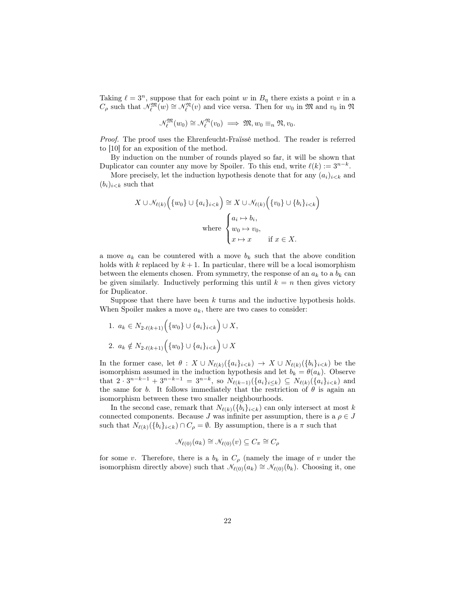Taking  $\ell = 3^n$ , suppose that for each point w in  $B_n$  there exists a point v in a  $C_{\rho}$  such that  $\mathcal{N}_{\ell}^{\mathfrak{M}}(w) \cong \mathcal{N}_{\ell}^{\mathfrak{N}}(v)$  and vice versa. Then for  $w_0$  in  $\mathfrak{M}$  and  $v_0$  in  $\mathfrak{N}$ 

$$
\mathcal{N}_{\ell}^{\mathfrak{M}}(w_0) \cong \mathcal{N}_{\ell}^{\mathfrak{N}}(v_0) \implies \mathfrak{M}, w_0 \equiv_n \mathfrak{N}, v_0.
$$

Proof. The proof uses the Ehrenfeucht-Fraïssé method. The reader is referred to [\[10\]](#page-26-7) for an exposition of the method.

By induction on the number of rounds played so far, it will be shown that Duplicator can counter any move by Spoiler. To this end, write  $\ell(k) := 3^{n-k}$ .

More precisely, let the induction hypothesis denote that for any  $(a_i)_{i \leq k}$  and  $(b_i)_{i < k}$  such that

$$
X \cup \mathcal{N}_{\ell(k)}\left(\{w_0\} \cup \{a_i\}_{i < k}\right) \cong X \cup \mathcal{N}_{\ell(k)}\left(\{v_0\} \cup \{b_i\}_{i < k}\right)
$$
\n
$$
\text{where } \begin{cases} a_i \mapsto b_i, \\ w_0 \mapsto v_0, \\ x \mapsto x \quad \text{if } x \in X. \end{cases}
$$

a move  $a_k$  can be countered with a move  $b_k$  such that the above condition holds with k replaced by  $k + 1$ . In particular, there will be a local isomorphism between the elements chosen. From symmetry, the response of an  $a_k$  to a  $b_k$  can be given similarly. Inductively performing this until  $k = n$  then gives victory for Duplicator.

Suppose that there have been  $k$  turns and the inductive hypothesis holds. When Spoiler makes a move  $a_k$ , there are two cases to consider:

<span id="page-21-0"></span>1. 
$$
a_k \in N_{2 \cdot \ell(k+1)} (\{w_0\} \cup \{a_i\}_{i < k}) \cup X
$$
,  
2.  $a_k \notin N_{2 \cdot \ell(k+1)} (\{w_0\} \cup \{a_i\}_{i < k}) \cup X$ 

In the former case, let  $\theta$  :  $X \cup N_{\ell(k)}(\{a_i\}_{i\lt k}) \to X \cup N_{\ell(k)}(\{b_i\}_{i\lt k})$  be the isomorphism assumed in the induction hypothesis and let  $b_k = \theta(a_k)$ . Observe that  $2 \cdot 3^{n-k-1} + 3^{n-k-1} = 3^{n-k}$ , so  $N_{\ell(k-1)}(\{a_i\}_{i\leq k}) \subseteq N_{\ell(k)}(\{a_i\}_{i\leq k})$  and the same for b. It follows immediately that the restriction of  $\theta$  is again an isomorphism between these two smaller neighbourhoods.

In the second case, remark that  $N_{\ell(k)}(\{b_i\}_{i\leq k})$  can only intersect at most k connected components. Because  $J$  was infinite per assumption, there is a  $\rho \in J$ such that  $N_{\ell(k)}(\{b_i\}_{i\lt k}) \cap C_\rho = \emptyset$ . By assumption, there is a  $\pi$  such that

$$
\mathcal{N}_{\ell(0)}(a_k) \cong \mathcal{N}_{\ell(0)}(v) \subseteq C_\pi \cong C_\rho
$$

for some v. Therefore, there is a  $b_k$  in  $C_\rho$  (namely the image of v under the isomorphism directly above) such that  $\mathcal{N}_{\ell(0)}(a_k) \cong \mathcal{N}_{\ell(0)}(b_k)$ . Choosing it, one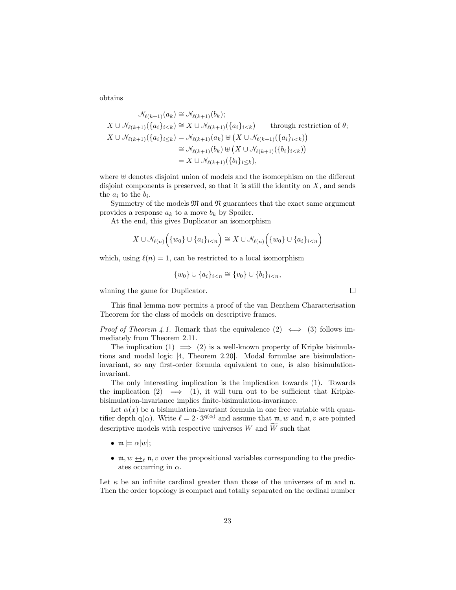obtains

$$
\mathcal{N}_{\ell(k+1)}(a_k) \cong \mathcal{N}_{\ell(k+1)}(b_k);
$$
\n
$$
X \cup \mathcal{N}_{\ell(k+1)}(\{a_i\}_{i < k}) \cong X \cup \mathcal{N}_{\ell(k+1)}(\{a_i\}_{i < k}) \qquad \text{through restriction of } \theta;
$$
\n
$$
X \cup \mathcal{N}_{\ell(k+1)}(\{a_i\}_{i < k}) = \mathcal{N}_{\ell(k+1)}(a_k) \oplus (X \cup \mathcal{N}_{\ell(k+1)}(\{a_i\}_{i < k}))
$$
\n
$$
\cong \mathcal{N}_{\ell(k+1)}(b_k) \oplus (X \cup \mathcal{N}_{\ell(k+1)}(\{b_i\}_{i < k}))
$$
\n
$$
= X \cup \mathcal{N}_{\ell(k+1)}(\{b_i\}_{i < k}),
$$

where  $\uplus$  denotes disjoint union of models and the isomorphism on the different disjoint components is preserved, so that it is still the identity on  $X$ , and sends the  $a_i$  to the  $b_i$ .

Symmetry of the models  $\mathfrak{M}$  and  $\mathfrak{N}$  guarantees that the exact same argument provides a response  $a_k$  to a move  $b_k$  by Spoiler.

At the end, this gives Duplicator an isomorphism

$$
X \cup \mathcal{N}_{\ell(n)}\Big(\{w_0\} \cup \{a_i\}_{i < n}\Big) \cong X \cup \mathcal{N}_{\ell(n)}\Big(\{w_0\} \cup \{a_i\}_{i < n}\Big)
$$

which, using  $\ell(n) = 1$ , can be restricted to a local isomorphism

$$
\{w_0\} \cup \{a_i\}_{i < n} \cong \{v_0\} \cup \{b_i\}_{i < n},
$$

winning the game for Duplicator.

This final lemma now permits a proof of the van Benthem Characterisation Theorem for the class of models on descriptive frames.

*Proof of Theorem [4.1.](#page-12-2)* Remark that the equivalence  $(2) \iff (3)$  follows immediately from Theorem [2.11.](#page-6-3)

The implication (1)  $\implies$  (2) is a well-known property of Kripke bisimulations and modal logic [\[4,](#page-26-1) Theorem 2.20]. Modal formulae are bisimulationinvariant, so any first-order formula equivalent to one, is also bisimulationinvariant.

The only interesting implication is the implication towards (1). Towards the implication (2)  $\implies$  (1), it will turn out to be sufficient that Kripkebisimulation-invariance implies finite-bisimulation-invariance.

Let  $\alpha(x)$  be a bisimulation-invariant formula in one free variable with quantifier depth q( $\alpha$ ). Write  $\ell = 2 \cdot 3^{q(\alpha)}$  and assume that  $\mathfrak{m}, w$  and  $\mathfrak{n}, v$  are pointed descriptive models with respective universes W and  $\widetilde{W}$  such that

- $\mathfrak{m} \models \alpha[w];$
- $\mathfrak{m}, w \leftrightarrow_{\ell} \mathfrak{n}, v$  over the propositional variables corresponding to the predicates occurring in  $\alpha$ .

Let  $\kappa$  be an infinite cardinal greater than those of the universes of m and n. Then the order topology is compact and totally separated on the ordinal number

 $\Box$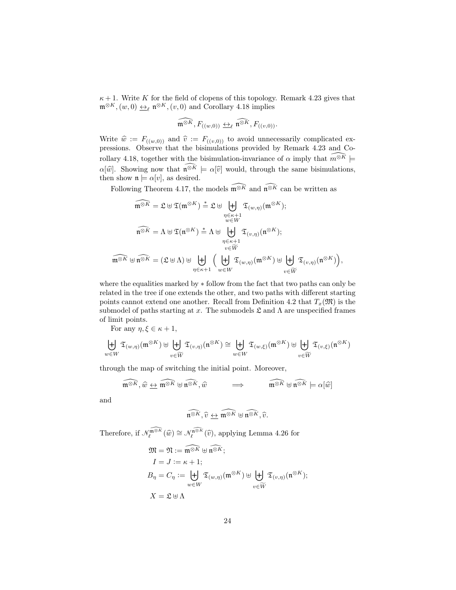$\kappa + 1$ . Write K for the field of clopens of this topology. Remark [4.23](#page-20-1) gives that  $\mathfrak{m}^{\otimes K},(w,0) \underline{\leftrightarrow}_{\ell} \mathfrak{n}^{\otimes K},(v,0)$  and Corollary [4.18](#page-18-2) implies

$$
\widehat{\mathfrak{m}^{\otimes K}}, F_{((w,0))} \xrightarrow{\longleftrightarrow}_{\ell} \widehat{\mathfrak{n}^{\otimes K}}, F_{((v,0))}.
$$

Write  $\hat{w} := F_{((w,0))}$  and  $\hat{v} := F_{((v,0))}$  to avoid unnecessarily complicated expressions. Observe that the bisimulations provided by Remark [4.23](#page-20-1) and Co-rollary [4.18,](#page-18-2) together with the bisimulation-invariance of  $\alpha$  imply that  $\widehat{m^{\otimes K}}$   $\models$  $\alpha[\widehat{w}]$ . Showing now that  $\widehat{\mathfrak{n}^{\otimes K}} \models \alpha[\widehat{v}]$  would, through the same bisimulations, then show  $\mathfrak{n} \models \alpha[v]$ , as desired.

Following Theorem [4.17,](#page-18-3) the models  $\widehat{\mathfrak{m}^{\otimes K}}$  and  $\widehat{\mathfrak{n}^{\otimes K}}$  can be written as

$$
\widehat{\mathfrak{m}^{\otimes K}} = \mathfrak{L} \oplus \mathfrak{T}(\mathfrak{m}^{\otimes K}) \stackrel{*}{=} \mathfrak{L} \oplus \biguplus_{\substack{\eta \in \kappa + 1 \\ w \in W}} \mathfrak{T}_{(w,\eta)}(\mathfrak{m}^{\otimes K});
$$
\n
$$
\widehat{\mathfrak{n}^{\otimes K}} = \Lambda \oplus \mathfrak{T}(\mathfrak{n}^{\otimes K}) \stackrel{*}{=} \Lambda \oplus \biguplus_{\substack{\eta \in \kappa + 1 \\ v \in \widetilde{W}}} \mathfrak{T}_{(v,\eta)}(\mathfrak{n}^{\otimes K});
$$
\n
$$
\widehat{\mathfrak{m}^{\otimes K}} \oplus \widehat{\mathfrak{n}^{\otimes K}} = (\mathfrak{L} \oplus \Lambda) \oplus \biguplus_{\eta \in \kappa + 1} \Big( \biguplus_{w \in W} \mathfrak{T}_{(w,\eta)}(\mathfrak{m}^{\otimes K}) \oplus \biguplus_{v \in \widetilde{W}} \mathfrak{T}_{(v,\eta)}(\mathfrak{n}^{\otimes K})\Big),
$$

where the equalities marked by ∗ follow from the fact that two paths can only be related in the tree if one extends the other, and two paths with different starting points cannot extend one another. Recall from Definition [4.2](#page-13-0) that  $T_x(\mathfrak{M})$  is the submodel of paths starting at x. The submodels  $\mathfrak L$  and  $\Lambda$  are unspecified frames of limit points.

For any  $\eta, \xi \in \kappa + 1$ ,

$$
\biguplus_{w\in W}\mathfrak{T}_{(w,\eta)}(\mathfrak{m}^{\otimes K})\uplus\biguplus_{v\in \widetilde{W}}\mathfrak{T}_{(v,\eta)}(\mathfrak{n}^{\otimes K})\cong \biguplus_{w\in W}\mathfrak{T}_{(w,\xi)}(\mathfrak{m}^{\otimes K})\uplus\biguplus_{v\in \widetilde{W}}\mathfrak{T}_{(v,\xi)}(\mathfrak{n}^{\otimes K})
$$

through the map of switching the initial point. Moreover,

$$
\widehat{\mathfrak{m}^{\otimes K}}, \widehat{w} \leftrightarrow \widehat{\mathfrak{m}^{\otimes K}} \uplus \widehat{\mathfrak{n}^{\otimes K}}, \widehat{w} \qquad \Longrightarrow \qquad \widehat{\mathfrak{m}^{\otimes K}} \uplus \widehat{\mathfrak{n}^{\otimes K}} \models \alpha[\widehat{w}]
$$

and

$$
\widehat{\mathfrak{n}^{\otimes K}}, \widehat{v} \leftrightarrow \widehat{\mathfrak{m}^{\otimes K}} \uplus \widehat{\mathfrak{n}^{\otimes K}}, \widehat{v}.
$$

Therefore, if  $\mathcal{N}_{\ell}^{\widehat{\mathfrak{m}} \otimes K}(\widehat{w}) \cong \mathcal{N}_{\ell}^{\widehat{\mathfrak{m}} \otimes K}(\widehat{v})$ , applying Lemma [4.26](#page-20-0) for

$$
\mathfrak{M} = \mathfrak{N} := \widehat{\mathfrak{m}^{\otimes K}} \oplus \widehat{\mathfrak{n}^{\otimes K}};
$$
\n
$$
I = J := \kappa + 1;
$$
\n
$$
B_{\eta} = C_{\eta} := \biguplus_{w \in W} \mathfrak{T}_{(w,\eta)}(\mathfrak{m}^{\otimes K}) \oplus \biguplus_{v \in \widetilde{W}} \mathfrak{T}_{(v,\eta)}(\mathfrak{n}^{\otimes K});
$$
\n
$$
X = \mathfrak{L} \oplus \Lambda
$$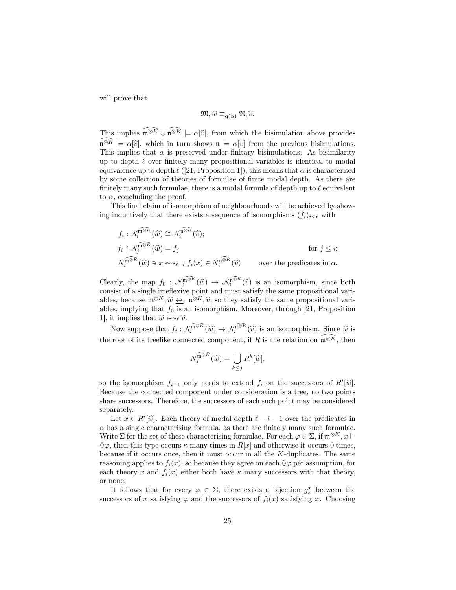will prove that

$$
\mathfrak{M},\widehat{w} \equiv_{\mathrm{q}(\alpha)} \mathfrak{N},\widehat{v}.
$$

This implies  $\widehat{\mathfrak{m}^{\otimes K}} \oplus \widehat{\mathfrak{m}^{\otimes K}} \models \alpha[\widehat{v}]$ , from which the bisimulation above provides  $\widehat{\mathfrak{n}^{\otimes K}} \models \alpha[\widehat{v}]$ , which in turn shows  $\mathfrak{n} \models \alpha[v]$  from the previous bisimulations. This implies that  $\alpha$  is preserved under finitary bisimulations. As bisimilarity up to depth  $\ell$  over finitely many propositional variables is identical to modal equivalence up to depth  $\ell$  ([\[21,](#page-27-5) Proposition 1]), this means that  $\alpha$  is characterised by some collection of theories of formulae of finite modal depth. As there are finitely many such formulae, there is a modal formula of depth up to  $\ell$  equivalent to  $\alpha$ , concluding the proof.

This final claim of isomorphism of neighbourhoods will be achieved by showing inductively that there exists a sequence of isomorphisms  $(f_i)_{i\leq \ell}$  with

$$
f_i: \mathcal{N}_i^{\widehat{\mathfrak{m}} \otimes \widehat{K}}(\widehat{w}) \cong \mathcal{N}_i^{\widehat{\mathfrak{n}} \otimes \widehat{K}}(\widehat{v});
$$
  
\n
$$
f_i \upharpoonright \mathcal{N}_j^{\widehat{\mathfrak{m}} \otimes \widehat{K}}(\widehat{w}) = f_j
$$
 for  $j \leq i$ ;  
\n
$$
N_i^{\widehat{\mathfrak{m}} \otimes \widehat{K}}(\widehat{w}) \ni x \leftrightarrow_{\ell-i} f_i(x) \in N_i^{\widehat{\mathfrak{n}} \otimes \widehat{K}}(\widehat{v})
$$
 over the predicates in  $\alpha$ .

Clearly, the map  $f_0: \mathcal{N}_0^{\widehat{\mathfrak{m}} \otimes K}(\widehat{w}) \to \mathcal{N}_0^{\widehat{\mathfrak{m}} \otimes K}(\widehat{v})$  is an isomorphism, since both consist of a single irreflexive point and must satisfy the same propositional variconsist of a single irreflexive point and must satisfy the same propositional variables, because  $\mathfrak{m}^{\otimes K}, \widehat{w} \leftrightarrow_{\ell} \mathfrak{n}^{\otimes K}, \widehat{v}$ , so they satisfy the same propositional vari-<br>ables implying that  $f_{\ell}$  is an isomorphism. Moreover, through [21] Proposition ables, implying that  $f_0$  is an isomorphism. Moreover, through [\[21,](#page-27-5) Proposition 1, it implies that  $\hat{w} \leftrightarrow_{\ell} \hat{v}$ .

Now suppose that  $f_i: \mathcal{N}_i^{\widehat{\mathfrak{m}} \otimes K}(\widehat{w}) \to \mathcal{N}_i^{\widehat{\mathfrak{m}} \otimes K}(\widehat{v})$  is an isomorphism. Since  $\widehat{w}$  is the root of its treelike connected component, if R is the relation on  $\widehat{\mathfrak{m}} \otimes \widehat{K}$ , then

$$
N_j^{\widehat{\mathfrak{m}}^{\otimes K}}(\widehat{w}) = \bigcup_{k \leq j} R^k[\widehat{w}],
$$

so the isomorphism  $f_{i+1}$  only needs to extend  $f_i$  on the successors of  $R^i[\hat{w}]$ .<br>Because the connected component under consideration is a tree no two points Because the connected component under consideration is a tree, no two points share successors. Therefore, the successors of each such point may be considered separately.

Let  $x \in R^i[\widehat{w}]$ . Each theory of modal depth  $\ell - i - 1$  over the predicates in  $\alpha$  has a single characterising formula, as there are finitely many such formulae. Write  $\Sigma$  for the set of these characterising formulae. For each  $\varphi \in \Sigma$ , if  $\mathfrak{m}^{\otimes K}$ ,  $x \Vdash$  $\Diamond \varphi$ , then this type occurs  $\kappa$  many times in  $R[x]$  and otherwise it occurs 0 times, because if it occurs once, then it must occur in all the  $K$ -duplicates. The same reasoning applies to  $f_i(x)$ , so because they agree on each  $\Diamond \varphi$  per assumption, for each theory x and  $f_i(x)$  either both have  $\kappa$  many successors with that theory, or none.

It follows that for every  $\varphi \in \Sigma$ , there exists a bijection  $g_{\varphi}^x$  between the successors of x satisfying  $\varphi$  and the successors of  $f_i(x)$  satisfying  $\varphi$ . Choosing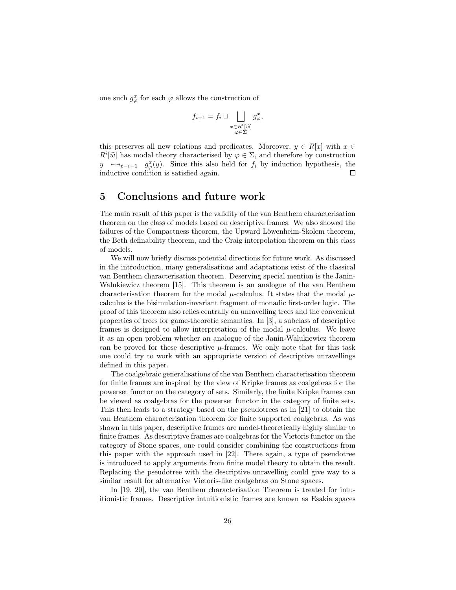one such  $g^x_\varphi$  for each  $\varphi$  allows the construction of

$$
f_{i+1} = f_i \sqcup \bigsqcup_{\substack{x \in R^i[\widehat{w}]}{\varphi \in \Sigma}} g_{\varphi}^x,
$$

this preserves all new relations and predicates. Moreover,  $y \in R[x]$  with  $x \in$  $R^i[\widehat{w}]$  has modal theory characterised by  $\varphi \in \Sigma$ , and therefore by construction<br> $w_i$  and  $w_i \in \mathbb{R}^{x}(w)$ . Since this also hold for f, by induction by pothosis, the y  $\overline{\phantom{a}}^{x}$ <sub> $\longmapsto$  $\overline{\phantom{a}}^{x}$  $\longmapsto$   $\overline{\phantom{a}}^{x}$  $\overline{\phantom{a}}^{y}$ . Since this also held for  $f_i$  by induction hypothesis, the</sub> inductive condition is satisfied again.  $\Box$ 

### 5 Conclusions and future work

The main result of this paper is the validity of the van Benthem characterisation theorem on the class of models based on descriptive frames. We also showed the failures of the Compactness theorem, the Upward Löwenheim-Skolem theorem, the Beth definability theorem, and the Craig interpolation theorem on this class of models.

We will now briefly discuss potential directions for future work. As discussed in the introduction, many generalisations and adaptations exist of the classical van Benthem characterisation theorem. Deserving special mention is the Janin-Walukiewicz theorem [\[15\]](#page-27-4). This theorem is an analogue of the van Benthem characterisation theorem for the modal  $\mu$ -calculus. It states that the modal  $\mu$ calculus is the bisimulation-invariant fragment of monadic first-order logic. The proof of this theorem also relies centrally on unravelling trees and the convenient properties of trees for game-theoretic semantics. In [\[3\]](#page-26-9), a subclass of descriptive frames is designed to allow interpretation of the modal  $\mu$ -calculus. We leave it as an open problem whether an analogue of the Janin-Walukiewicz theorem can be proved for these descriptive  $\mu$ -frames. We only note that for this task one could try to work with an appropriate version of descriptive unravellings defined in this paper.

The coalgebraic generalisations of the van Benthem characterisation theorem for finite frames are inspired by the view of Kripke frames as coalgebras for the powerset functor on the category of sets. Similarly, the finite Kripke frames can be viewed as coalgebras for the powerset functor in the category of finite sets. This then leads to a strategy based on the pseudotrees as in [\[21\]](#page-27-5) to obtain the van Benthem characterisation theorem for finite supported coalgebras. As was shown in this paper, descriptive frames are model-theoretically highly similar to finite frames. As descriptive frames are coalgebras for the Vietoris functor on the category of Stone spaces, one could consider combining the constructions from this paper with the approach used in [\[22\]](#page-27-3). There again, a type of pseudotree is introduced to apply arguments from finite model theory to obtain the result. Replacing the pseudotree with the descriptive unravelling could give way to a similar result for alternative Vietoris-like coalgebras on Stone spaces.

In [\[19,](#page-27-0) [20\]](#page-27-1), the van Benthem characterisation Theorem is treated for intuitionistic frames. Descriptive intuitionistic frames are known as Esakia spaces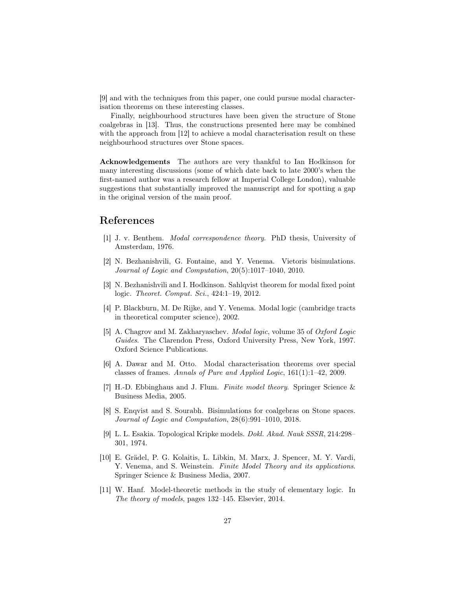[\[9\]](#page-26-10) and with the techniques from this paper, one could pursue modal characterisation theorems on these interesting classes.

Finally, neighbourhood structures have been given the structure of Stone coalgebras in [\[13\]](#page-27-12). Thus, the constructions presented here may be combined with the approach from [\[12\]](#page-27-2) to achieve a modal characterisation result on these neighbourhood structures over Stone spaces.

Acknowledgements The authors are very thankful to Ian Hodkinson for many interesting discussions (some of which date back to late 2000's when the first-named author was a research fellow at Imperial College London), valuable suggestions that substantially improved the manuscript and for spotting a gap in the original version of the main proof.

### References

- <span id="page-26-0"></span>[1] J. v. Benthem. Modal correspondence theory. PhD thesis, University of Amsterdam, 1976.
- <span id="page-26-4"></span>[2] N. Bezhanishvili, G. Fontaine, and Y. Venema. Vietoris bisimulations. Journal of Logic and Computation, 20(5):1017–1040, 2010.
- <span id="page-26-9"></span>[3] N. Bezhanishvili and I. Hodkinson. Sahlqvist theorem for modal fixed point logic. Theoret. Comput. Sci., 424:1–19, 2012.
- <span id="page-26-1"></span>[4] P. Blackburn, M. De Rijke, and Y. Venema. Modal logic (cambridge tracts in theoretical computer science), 2002.
- <span id="page-26-3"></span>[5] A. Chagrov and M. Zakharyaschev. Modal logic, volume 35 of Oxford Logic Guides. The Clarendon Press, Oxford University Press, New York, 1997. Oxford Science Publications.
- <span id="page-26-2"></span>[6] A. Dawar and M. Otto. Modal characterisation theorems over special classes of frames. Annals of Pure and Applied Logic, 161(1):1–42, 2009.
- <span id="page-26-6"></span>[7] H.-D. Ebbinghaus and J. Flum. Finite model theory. Springer Science & Business Media, 2005.
- <span id="page-26-5"></span>[8] S. Enqvist and S. Sourabh. Bisimulations for coalgebras on Stone spaces. Journal of Logic and Computation, 28(6):991–1010, 2018.
- <span id="page-26-10"></span>[9] L. L. Esakia. Topological Kripke models. Dokl. Akad. Nauk SSSR, 214:298– 301, 1974.
- <span id="page-26-7"></span>[10] E. Grädel, P. G. Kolaitis, L. Libkin, M. Marx, J. Spencer, M. Y. Vardi, Y. Venema, and S. Weinstein. Finite Model Theory and its applications. Springer Science & Business Media, 2007.
- <span id="page-26-8"></span>[11] W. Hanf. Model-theoretic methods in the study of elementary logic. In The theory of models, pages 132–145. Elsevier, 2014.